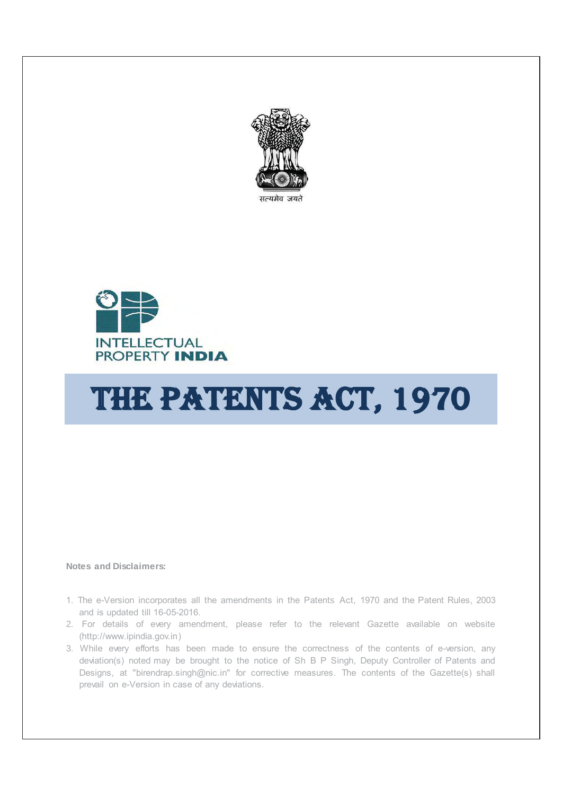



## THE PATENTS ACT, 1970

## **Notes and Disclaimers:**

- 1. The e-Version incorporates all the amendments in the Patents Act, 1970 and the Patent Rules, 2003 and is updated till 23-06-2017.
- (http://www.ipindia.gov.in) 2. For details of every amendment, please refer to the relevant Gazette available on website
- 3. While every efforts has been made to ensure the correctness of the contents of e-version, any deviation(s) noted may be brought to the notice of Sh B P Singh, Deputy Controller of Patents and Designs, at "birendrap.singh@nic.in" for corrective measures. The contents of the Gazette(s) shall prevail on e-Version in case of any deviations.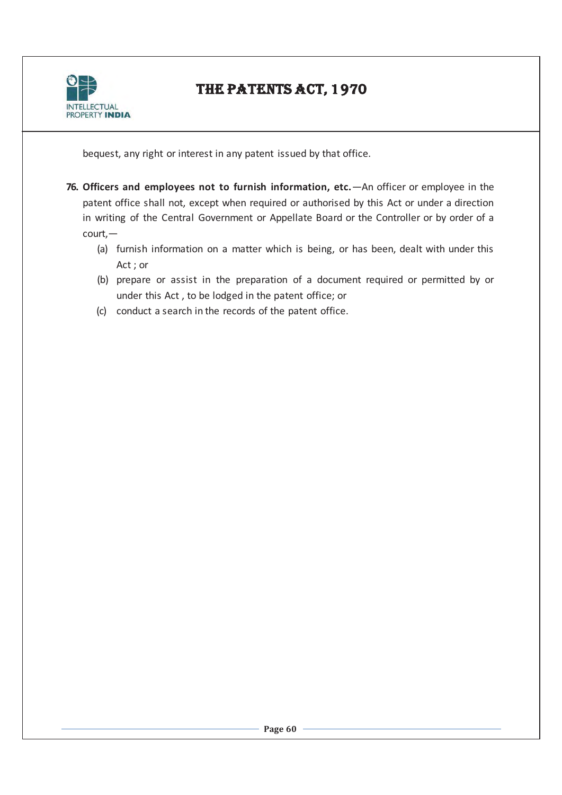

bequest, any right or interest in any patent issued by that office.

- in writing of the Central Government or Appellate Board or the Controller or by order of a **76. Officers and employees not to furnish information, etc.**—An officer or employee in the patent office shall not, except when required or authorised by this Act or under a direction court,—
	- (a) furnish information on a matter which is being, or has been, dealt with under this Act ; or
	- (b) prepare or assist in the preparation of a document required or permitted by or under this Act , to be lodged in the patent office; or
	- (c) conduct a search in the records of the patent office.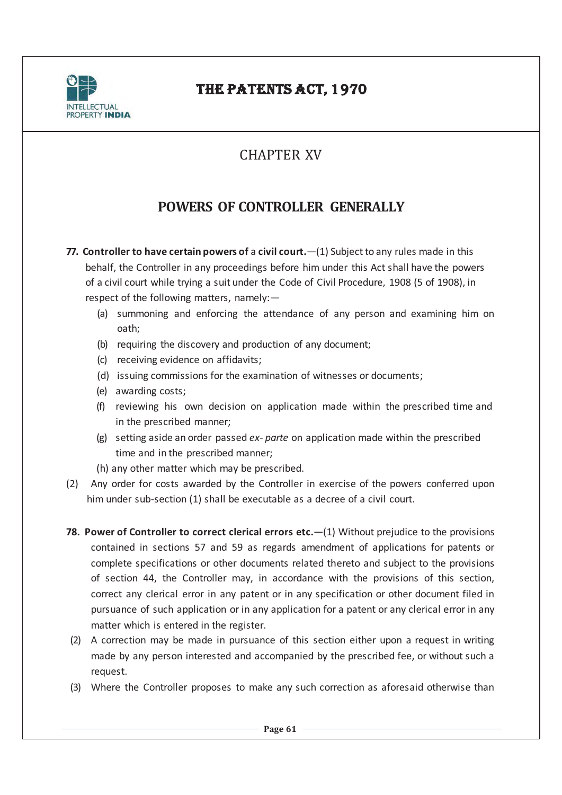

#### CHAPTER XV

#### POWERS OF CONTROLLER GENERALLY

- **77. Controller to have certain powers of** a **civil court.**—(1) Subject to any rules made in this behalf, the Controller in any proceedings before him under this Act shall have the powers of a civil court while trying a suit under the Code of Civil Procedure, 1908 (5 of 1908), in respect of the following matters, namely:—
	- (a) summoning and enforcing the attendance of any person and examining him on oath;
	- (b) requiring the discovery and production of any document;
	- (c) receiving evidence on affidavits;
	- (d) issuing commissions for the examination of witnesses or documents;
	- (e) awarding costs;
	- (f) reviewing his own decision on application made within the prescribed time and in the prescribed manner;
	- (g) setting aside an order passed *ex- parte* on application made within the prescribed time and in the prescribed manner;
	- (h) any other matter which may be prescribed.
- (2) Any order for costs awarded by the Controller in exercise of the powers conferred upon him under sub-section (1) shall be executable as a decree of a civil court.
- contained in sections 57 and 59 as regards amendment of applications for patents or of section 44, the Controller may, in accordance with the provisions of this section, correct any clerical error in any patent or in any specification or other document filed in pursuance of such application or in any application for a patent or any clerical error in any **78. Power of Controller to correct clerical errors etc.**  $- (1)$  Without prejudice to the provisions complete specifications or other documents related thereto and subject to the provisions matter which is entered in the register.
- (2) A correction may be made in pursuance of this section either upon a request in writing made by any person interested and accompanied by the prescribed fee, or without such a request.
- (3) Where the Controller proposes to make any such correction as aforesaid otherwise than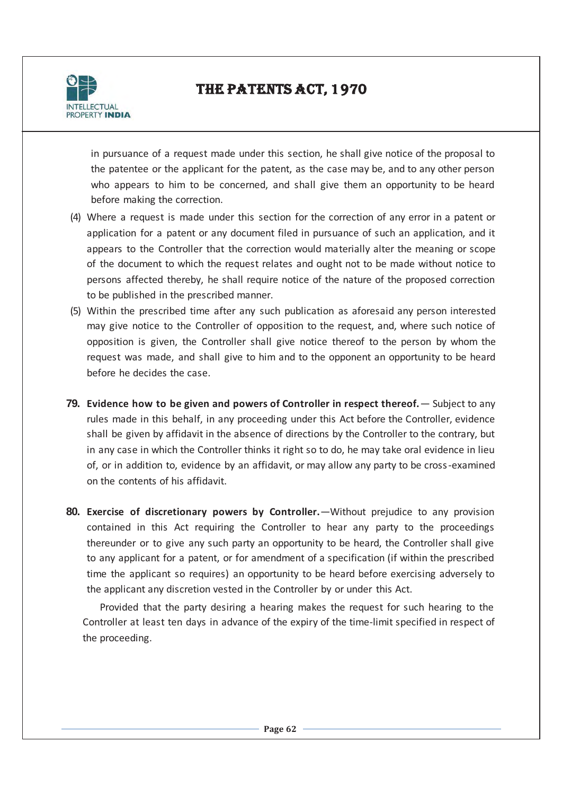

 the patentee or the applicant for the patent, as the case may be, and to any other person who appears to him to be concerned, and shall give them an opportunity to be heard before making the correction. in pursuance of a request made under this section, he shall give notice of the proposal to

- (4) Where a request is made under this section for the correction of any error in a patent or application for a patent or any document filed in pursuance of such an application, and it appears to the Controller that the correction would materially alter the meaning or scope persons affected thereby, he shall require notice of the nature of the proposed correction to be published in the prescribed manner. of the document to which the request relates and ought not to be made without notice to
- (5) Within the prescribed time after any such publication as aforesaid any person interested may give notice to the Controller of opposition to the request, and, where such notice of opposition is given, the Controller shall give notice thereof to the person by whom the request was made, and shall give to him and to the opponent an opportunity to be heard before he decides the case.
- **79. Evidence how to be given and powers of Controller in respect thereof.** Subject to any rules made in this behalf, in any proceeding under this Act before the Controller, evidence of, or in addition to, evidence by an affidavit, or may allow any party to be cross -examined shall be given by affidavit in the absence of directions by the Controller to the contrary, but in any case in which the Controller thinks it right so to do, he may take oral evidence in lieu on the contents of his affidavit.
- thereunder or to give any such party an opportunity to be heard, the Controller shall give to any applicant for a patent, or for amendment of a specification (if within the prescribed time the applicant so requires) an opportunity to be heard before exercising adversely to the applicant any discretion vested in the Controller by or under this Act. **80. Exercise of discretionary powers by Controller.**—Without prejudice to any provision contained in this Act requiring the Controller to hear any party to the proceedings

 Controller at least ten days in advance of the expiry of the time-limit specified in respect of Provided that the party desiring a hearing makes the request for such hearing to the the proceeding.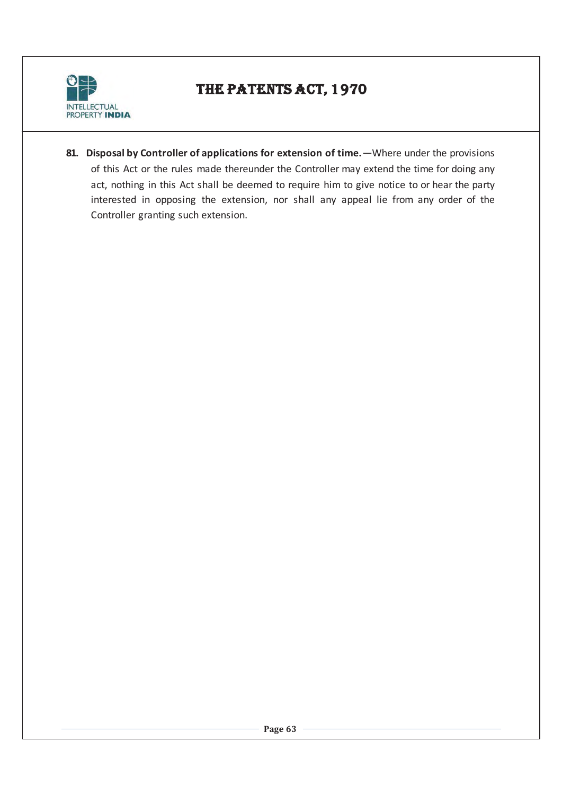

 **81. Disposal by Controller of applications for extension of time.**—Where under the provisions of this Act or the rules made thereunder the Controller may extend the time for doing any act, nothing in this Act shall be deemed to require him to give notice to or hear the party interested in opposing the extension, nor shall any appeal lie from any order of the Controller granting such extension.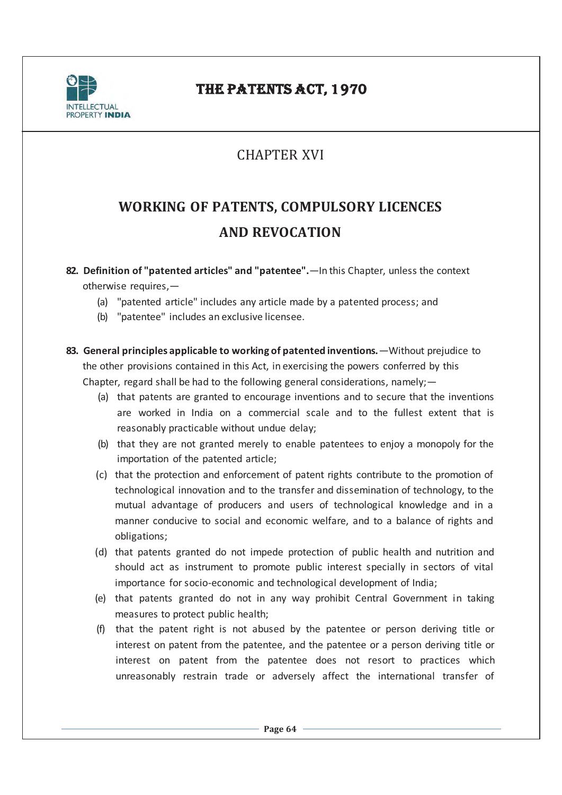

#### CHAPTER XVI

# **WORKING OF PATENTS, COMPULSORY LICENCES AND REVOCATION**

 **82. Definition of "patented articles" and "patentee".**—In this Chapter, unless the context otherwise requires,—

- (a) "patented article" includes any article made by a patented process; and
- (b) "patentee" includes an exclusive licensee.
- 83. General principles applicable to working of patented inventions. Without prejudice to the other provisions contained in this Act, in exercising the powers conferred by this Chapter, regard shall be had to the following general considerations, namely; $-$ 
	- reasonably practicable without undue delay; (a) that patents are granted to encourage inventions and to secure that the inventions are worked in India on a commercial scale and to the fullest extent that is
	- (b) that they are not granted merely to enable patentees to enjoy a monopoly for the importation of the patented article;
	- mutual advantage of producers and users of technological knowledge and in a manner conducive to social and economic welfare, and to a balance of rights and (c) that the protection and enforcement of patent rights contribute to the promotion of technological innovation and to the transfer and dissemination of technology, to the obligations;
	- (d) that patents granted do not impede protection of public health and nutrition and should act as instrument to promote public interest specially in sectors of vital importance for socio-economic and technological development of India;
	- (e) that patents granted do not in any way prohibit Central Government in taking measures to protect public health;
	- (f) that the patent right is not abused by the patentee or person deriving title or interest on patent from the patentee, and the patentee or a person deriving title or interest on patent from the patentee does not resort to practices which unreasonably restrain trade or adversely affect the international transfer of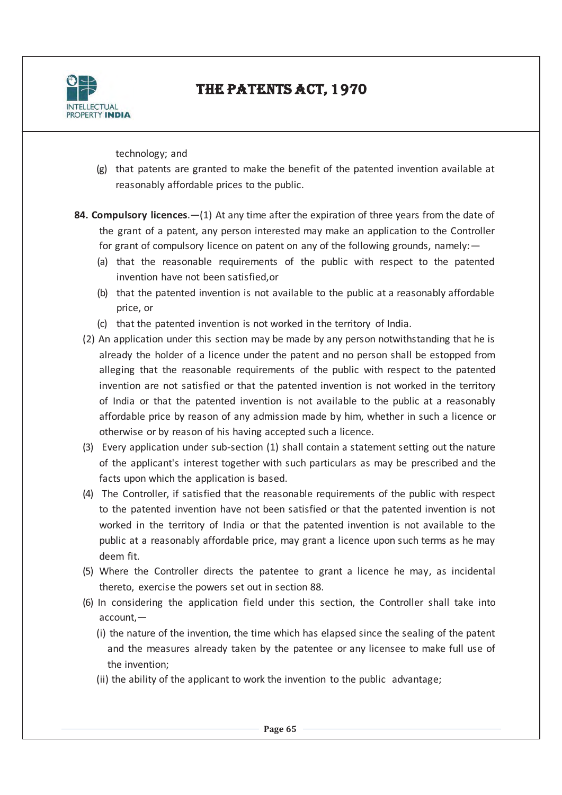

technology; and

- (g) that patents are granted to make the benefit of the patented invention available at reasonably affordable prices to the public.
- the grant of a patent, any person interested may make an application to the Controller for grant of compulsory licence on patent on any of the following grounds, namely:— **84. Compulsory licences**.—(1) At any time after the expiration of three years from the date of
	- (a) that the reasonable requirements of the public with respect to the patented invention have not been satisfied,or
	- (b) that the patented invention is not available to the public at a reasonably affordable price, or
	- (c) that the patented invention is not worked in the territory of India.
	- (2) An application under this section may be made by any person notwithstanding that he is already the holder of a licence under the patent and no person shall be estopped from invention are not satisfied or that the patented invention is not worked in the territory of India or that the patented invention is not available to the public at a reasonably otherwise or by reason of his having accepted such a licence. alleging that the reasonable requirements of the public with respect to the patented affordable price by reason of any admission made by him, whether in such a licence or
	- of the applicant's interest together with such particulars as may be prescribed and the (3) Every application under sub-section (1) shall contain a statement setting out the nature facts upon which the application is based.
	- (4) The Controller, if satisfied that the reasonable requirements of the public with respect worked in the territory of India or that the patented invention is not available to the public at a reasonably affordable price, may grant a licence upon such terms as he may to the patented invention have not been satisfied or that the patented invention is not deem fit.
	- (5) Where the Controller directs the patentee to grant a licence he may, as incidental thereto, exercise the powers set out in section 88.
	- (6) In considering the application field under this section, the Controller shall take into account,—
		- and the measures already taken by the patentee or any licensee to make full use of (i) the nature of the invention, the time which has elapsed since the sealing of the patent the invention;
		- (ii) the ability of the applicant to work the invention to the public advantage;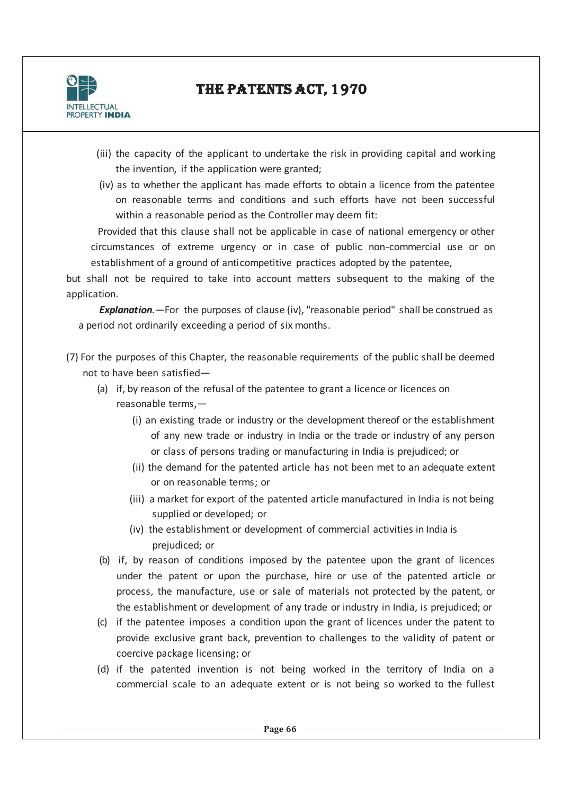

- the invention, if the application were granted; (iii) the capacity of the applicant to undertake the risk in providing capital and working
- the invention, if the application were granted; (iv) as to whether the applicant has made efforts to obtain a licence from the patentee on reasonable terms and conditions and such efforts have not been successful within a reasonable period as the Controller may deem fit:

 circumstances of extreme urgency or in case of public non-commercial use or on establishment of a ground of anticompetitive practices adopted by the patentee, Provided that this clause shall not be applicable in case of national emergency or other

 but shall not be required to take into account matters subsequent to the making of the application.

 *Explanation.*—For the purposes of clause (iv), "reasonable period" shall be construed as a period not ordinarily exceeding a period of six months.

- (7) For the purposes of this Chapter, the reasonable requirements of the public shall be deemed not to have been satisfied—
	- (a) if, by reason of the refusal of the patentee to grant a licence or licences on reasonable terms,—
		- (i) an existing trade or industry or the development thereof or the establishment of any new trade or industry in India or the trade or industry of any person or class of persons trading or manufacturing in India is prejudiced; or
		- (ii) the demand for the patented article has not been met to an adequate extent or on reasonable terms; or
		- (iii) a market for export of the patented article manufactured in India is not being supplied or developed; or
		- (iv) the establishment or development of commercial activities in India is prejudiced; or
	- (b) if, by reason of conditions imposed by the patentee upon the grant of licences under the patent or upon the purchase, hire or use of the patented article or process, the manufacture, use or sale of materials not protected by the patent, or the establishment or development of any trade or industry in India, is prejudiced; or
	- (c) if the patentee imposes a condition upon the grant of licences under the patent to provide exclusive grant back, prevention to challenges to the validity of patent or coercive package licensing; or
	- (d) if the patented invention is not being worked in the territory of India on a commercial scale to an adequate extent or is not being so worked to the fullest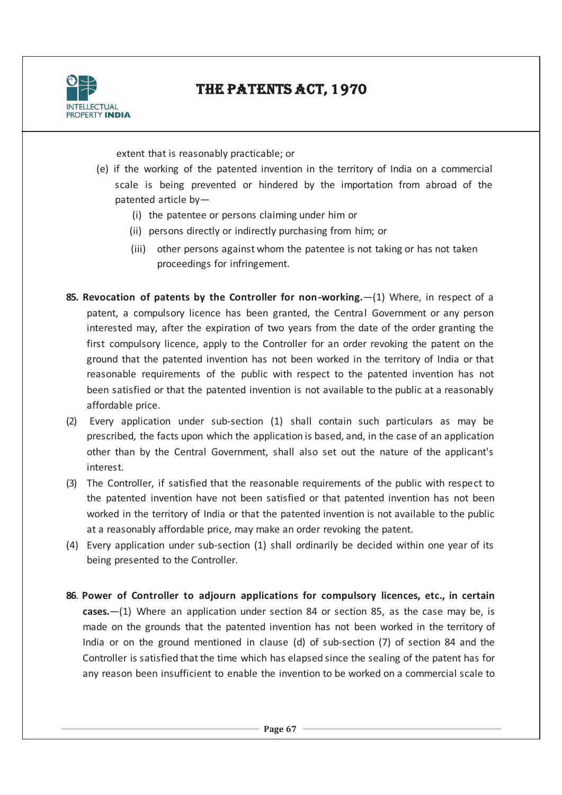

extent that is reasonably practicable; or

- (e) if the working of the patented invention in the territory of India on a commercial scale is being prevented or hindered by the importation from abroad of the patented article by—
	- (i) the patentee or persons claiming under him or
	- (ii) persons directly or indirectly purchasing from him; or
	- (iii) other persons against whom the patentee is not taking or has not taken proceedings for infringement.
- patent, a compulsory licence has been granted, the Central Government or any person interested may, after the expiration of two years from the date of the order granting the ground that the patented invention has not been worked in the territory of India or that reasonable requirements of the public with respect to the patented invention has not been satisfied or that the patented invention is not available to the public at a reasonably **85. Revocation of patents by the Controller for non-working.**—(1) Where, in respect of a first compulsory licence, apply to the Controller for an order revoking the patent on the affordable price.
- (2) Every application under sub-section (1) shall contain such particulars as may be prescribed, the facts upon which the application is based, and, in the case of an application other than by the Central Government, shall also set out the nature of the applicant's interest.
- (3) The Controller, if satisfied that the reasonable requirements of the public with respe ct to worked in the territory of India or that the patented invention is not available to the public at a reasonably affordable price, may make an order revoking the patent. the patented invention have not been satisfied or that patented invention has not been
- (4) Every application under sub-section (1) shall ordinarily be decided within one year of its being presented to the Controller.
- **86**. **Power of Controller to adjourn applications for compulsory licences, etc., in certain cases.**—(1) Where an application under section 84 or section 85, as the case may be, is made on the grounds that the patented invention has not been worked in the territory of India or on the ground mentioned in clause (d) of sub-section (7) of section 84 and the Controller is satisfied that the time which has elapsed since the sealing of the patent has for any reason been insufficient to enable the invention to be worked on a commercial scale to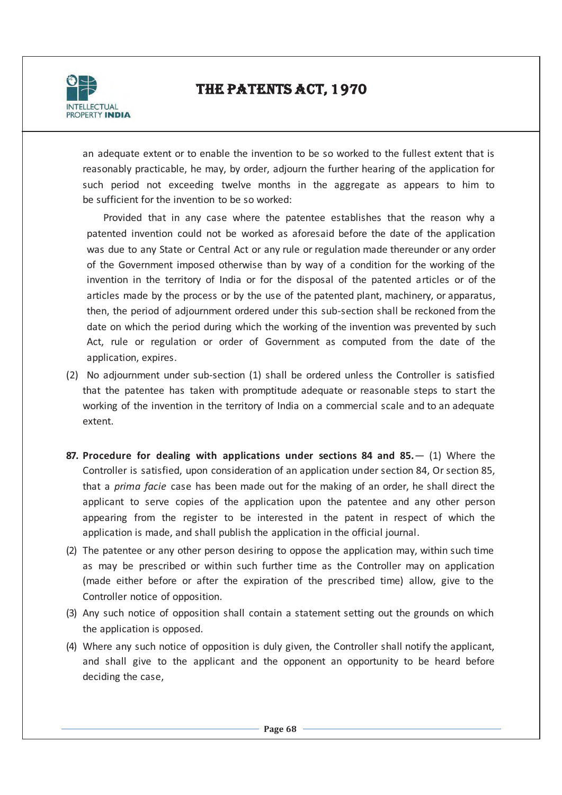

an adequate extent or to enable the invention to be so worked to the fullest extent that is reasonably practicable, he may, by order, adjourn the further hearing of the application for such period not exceeding twelve months in the aggregate as appears to him to be sufficient for the invention to be so worked:

 patented invention could not be worked as aforesaid before the date of the application was due to any State or Central Act or any rule or regulation made thereunder or any order of the Government imposed otherwise than by way of a condition for the working of the invention in the territory of India or for the disposal of the patented a rticles or of the articles made by the process or by the use of the patented plant, machinery, or apparatus, date on which the period during which the working of the invention was prevented by such Act, rule or regulation or order of Government as computed from the date of the Provided that in any case where the patentee establishes that the reason why a then, the period of adjournment ordered under this sub-section shall be reckoned from the application, expires.

- that the patentee has taken with promptitude adequate or reasonable steps to start the working of the invention in the territory of India on a commercial scale and to an adequate (2) No adjournment under sub-section (1) shall be ordered unless the Controller is satisfied extent.
- **87. Procedure for dealing with applications under sections 84 and 85.** (1) Where the Controller is satisfied, upon consideration of an application under section 84, Or section 85, appearing from the register to be interested in the patent in respect of which the that a *prima facie* case has been made out for the making of an order, he shall direct the applicant to serve copies of the application upon the patentee and any other person application is made, and shall publish the application in the official journal.
- (2) The patentee or any other person desiring to oppose the application may, within such time as may be prescribed or within such further time as the Controller may on application Controller notice of opposition. (made either before or after the expiration of the prescribed time) allow, give to the
- (3) Any such notice of opposition shall contain a statement setting out the grounds on which the application is opposed.
- (4) Where any such notice of opposition is duly given, the Controller shall notify the applicant, and shall give to the applicant and the opponent an opportunity to be heard before deciding the case,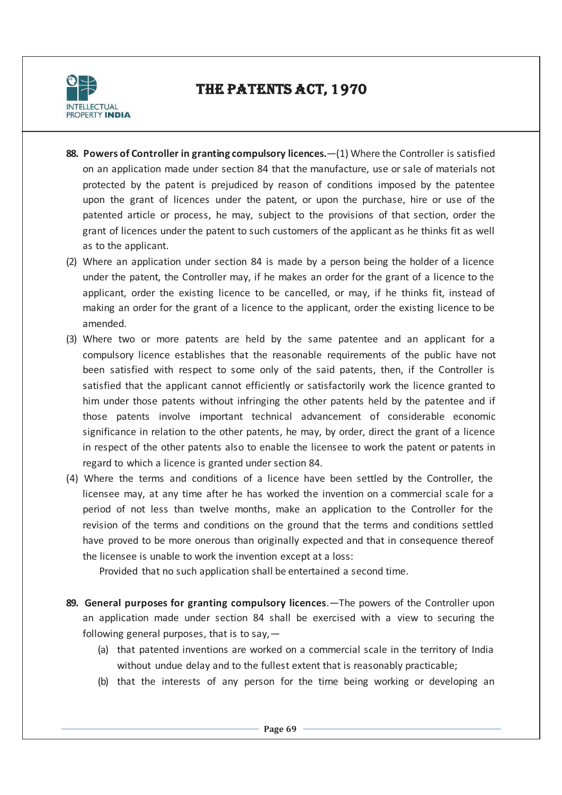

- **88. Powers of Controller in granting compulsory licences.**—(1) Where the Controller is satisfied on an application made under section 84 that the manufacture, use or sale of materials not upon the grant of licences under the patent, or upon the purchase, hire or use of the patented article or process, he may, subject to the provisions of that section, order the protected by the patent is prejudiced by reason of conditions imposed by the patentee grant of licences under the patent to such customers of the applicant as he thinks fit as well as to the applicant.
- (2) Where an application under section 84 is made by a person being the holder of a licence under the patent, the Controller may, if he makes an order for the grant of a licence to the applicant, order the existing licence to be cancelled, or may, if he thinks fit, instead of making an order for the grant of a licence to the applicant, order the existing licence to be amended.
- (3) Where two or more patents are held by the same patentee and an applicant for a compulsory licence establishes that the reasonable requirements of the public have not those patents involve important technical advancement of considerable economic in respect of the other patents also to enable the licensee to work the patent or patents in been satisfied with respect to some only of the said patents, then, if the Controller is satisfied that the applicant cannot efficiently or satisfactorily work the licence granted to him under those patents without infringing the other patents held by the patentee and if significance in relation to the other patents, he may, by order, direct the grant of a licence regard to which a licence is granted under section 84.
- (4) Where the terms and conditions of a licence have been settled by the Controller, the licensee may, at any time after he has worked the invention on a commercial scale for a period of not less than twelve months, make an application to the Controller for the revision of the terms and conditions on the ground that the terms and conditions settled have proved to be more onerous than originally expected and that in consequence thereof the licensee is unable to work the invention except at a loss:

Provided that no such application shall be entertained a second time.

- an application made under section 84 shall be exercised with a view to securing the **89. General purposes for granting compulsory licences**.—The powers of the Controller upon following general purposes, that is to say,—
	- (a) that patented inventions are worked on a commercial scale in the territory of India without undue delay and to the fullest extent that is reasonably practicable;
	- (b) that the interests of any person for the time being working or developing an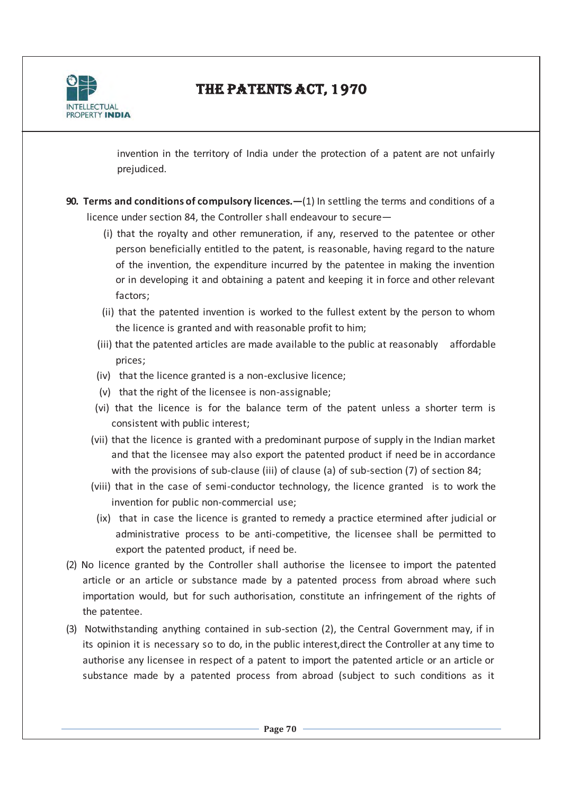

 invention in the territory of India under the protection of a patent are not unfairly prejudiced.

- **90. Terms and conditions of compulsory licences.—**(1) In settling the terms and conditions of a licence under section 84, the Controller s hall endeavour to secure—
	- person beneficially entitled to the patent, is reasonable, having regard to the nature of the invention, the expenditure incurred by the patentee in making the invention or in developing it and obtaining a patent and keeping it in force and other relevant (i) that the royalty and other remuneration, if any, reserved to the patentee or other factors;
	- (ii) that the patented invention is worked to the fullest extent by the person to whom the licence is granted and with reasonable profit to him;
	- (iii) that the patented articles are made available to the public at reasonably affordable prices;
	- (iv) that the licence granted is a non-exclusive licence;
	- (v) that the right of the licensee is non-assignable;
	- (vi) that the licence is for the balance term of the patent unless a shorter term is consistent with public interest;
	- (vii) that the licence is granted with a predominant purpose of supply in the Indian market and that the licensee may also export the patented product if need be in accordance with the provisions of sub-clause (iii) of clause (a) of sub-section (7) of section 84;
	- with the provisions of sub-clause (iii) of clause (a) of sub-section (7) of section 84; (viii) that in the case of semi-conductor technology, the licence granted is to work the invention for public non-commercial use;
	- administrative process to be anti-competitive, the licensee shall be permitted to export the patented product, if need be. (ix) that in case the licence is granted to remedy a practice etermined after judicial or
- (2) No licence granted by the Controller shall authorise the licensee to import the patented importation would, but for such authorisation, constitute an infringement of the rights of article or an article or substance made by a patented process from abroad where such the patentee.
- (3) Notwithstanding anything contained in sub-section (2), the Central Government may, if in its opinion it is necessary so to do, in the public interest,direct the Controller at any time to authorise any licensee in respect of a patent to import the patented article or an article or substance made by a patented process from abroad (subject to such conditions as it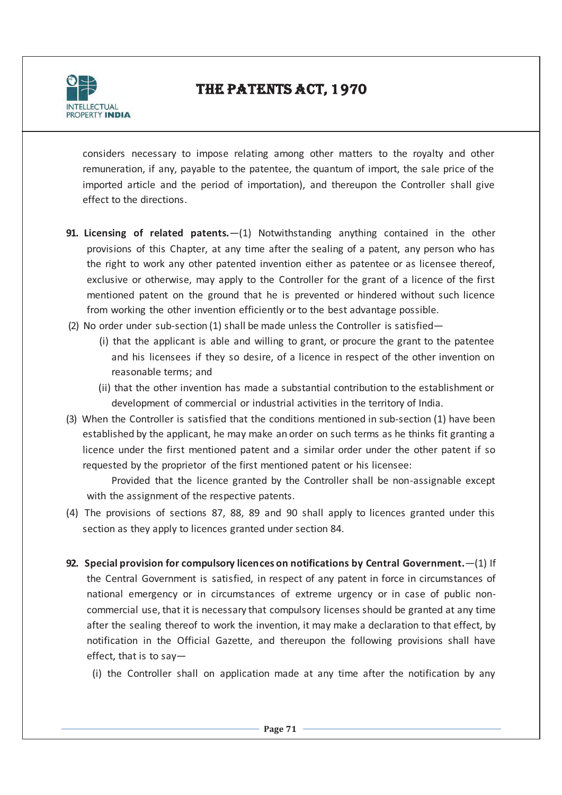

 remuneration, if any, payable to the patentee, the quantum of import, the sale price of the considers necessary to impose relating among other matters to the royalty and other imported article and the period of importation), and thereupon the Controller shall give effect to the directions.

- provisions of this Chapter, at any time after the sealing of a patent, any person who has the right to work any other patented invention either as patentee or as licensee thereof, exclusive or otherwise, may apply to the Controller for the grant of a licence of the first mentioned patent on the ground that he is prevented or hindered without such licence from working the other invention efficiently or to the best advantage possible. **91. Licensing of related patents.**—(1) Notwithstanding anything contained in the other
- (2) No order under sub-section (1) shall be made unless the Controller is satisfied—
	- (i) that the applicant is able and willing to grant, or procure the grant to the patentee and his licensees if they so desire, of a licence in respect of the other invention on reasonable terms; and
	- (ii) that the other invention has made a substantial contribution to the establishment or development of commercial or industrial activities in the territory of India.
- (3) When the Controller is satisfied that the conditions mentioned in sub-section (1) have been established by the applicant, he may make an order on such terms as he thinks fit granting a requested by the proprietor of the first mentioned patent or his licensee: licence under the first mentioned patent and a similar order under the other patent if so

 Provided that the licence granted by the Controller shall be non-assignable except with the assignment of the respective patents.

- (4) The provisions of sections 87, 88, 89 and 90 shall apply to licences granted under this section as they apply to licences granted under section 84.
- **92. Special provision for compulsory licences on notifications by Central Government.**—(1) If the Central Government is satisfied, in respect of any patent in force in circumstances of national emergency or in circumstances of extreme urgency or in case of public non- commercial use, that it is necessary that compulsory licenses should be granted at any time after the sealing thereof to work the invention, it may make a declaration to that effect, by notification in the Official Gazette, and thereupon the following provisions shall have effect, that is to say—
	- (i) the Controller shall on application made at any time after the notification by any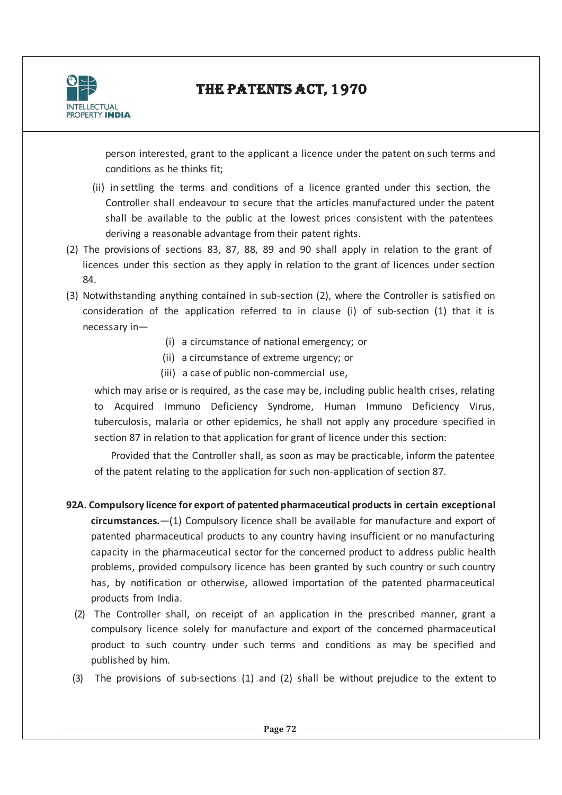

 person interested, grant to the applicant a licence under the patent on such terms and conditions as he thinks fit;

- (ii) in settling the terms and conditions of a licence granted under this section, the Controller shall endeavour to secure that the articles manufactured under the patent shall be available to the public at the lowest prices consistent with the patentees deriving a reasonable advantage from their patent rights.
- (2) The provisions of sections 83, 87, 88, 89 and 90 shall apply in relation to the grant of licences under this section as they apply in relation to the grant of licences under section 84.
- consideration of the application referred to in clause (i) of sub-section (1) that it is (3) Notwithstanding anything contained in sub-section (2), where the Controller is satisfied on necessary in—
	- (i) a circumstance of national emergency; or
	- (ii) a circumstance of extreme urgency; or
	- (iii) a case of public non-commercial use,

 which may arise or is required, as the case may be, including public health crises, relating tuberculosis, malaria or other epidemics, he shall not apply any procedure specified in section 87 in relation to that application for grant of licence under this section: to Acquired Immuno Deficiency Syndrome, Human Immuno Deficiency Virus,

 Provided that the Controller shall, as soon as may be practicable, inform the patentee of the patent relating to the application for such non-application of section 87.

 **92A. Compulsory licence for export of patented pharmaceutical products in certain exceptional** 

 capacity in the pharmaceutical sector for the concerned product to address public health problems, provided compulsory licence has been granted by such country or such country has, by notification or otherwise, allowed importation of the patented pharmaceutical products from India. **circumstances.**—(1) Compulsory licence shall be available for manufacture and export of patented pharmaceutical products to any country having insufficient or no manufacturing

- (2) The Controller shall, on receipt of an application in the prescribed manner, grant a compulsory licence solely for manufacture and export of the concerned pharmaceutical product to such country under such terms and conditions as may be specified and published by him.
- (3) The provisions of sub-sections (1) and (2) shall be without prejudice to the extent to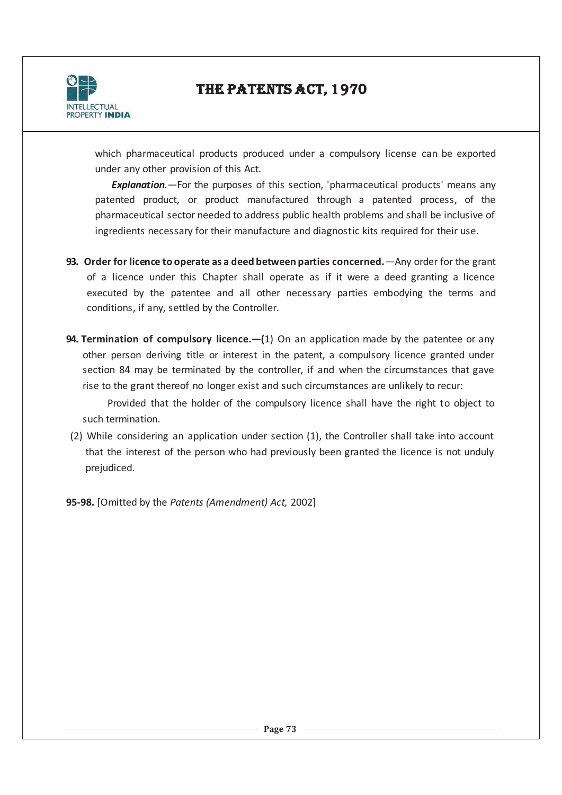

 which pharmaceutical products produced under a compulsory license can be exported under any other provision of this Act.

 patented product, or product manufactured through a patented process, of the ingredients necessary for their manufacture and diagnostic kits required for their use. *Explanation.*—For the purposes of this section, 'pharmaceutical products' means any pharmaceutical sector needed to address public health problems and shall be inclusive of

- **93. Order for licence to operate as a deed between parties concerned.**—Any order for the grant of a licence under this Chapter shall operate as if it were a deed granting a licence executed by the patentee and all other necessary parties embodying the terms and conditions, if any, settled by the Controller.
- **94. Termination of compulsory licence.—(**1) On an application made by the patentee or any other person deriving title or interest in the patent, a compulsory licence granted under section 84 may be terminated by the controller, if and when the circumstances that gave rise to the grant thereof no longer exist and such circumstances are unlikely to recur:

 Provided that the holder of the compulsory licence shall have the right to object to such termination.

- (2) While considering an application under section (1), the Controller shall take into account that the interest of the person who had previously been granted the licence is not unduly prejudiced.
- **95-98.** [Omitted by the *Patents (Amendment) Act,* 2002]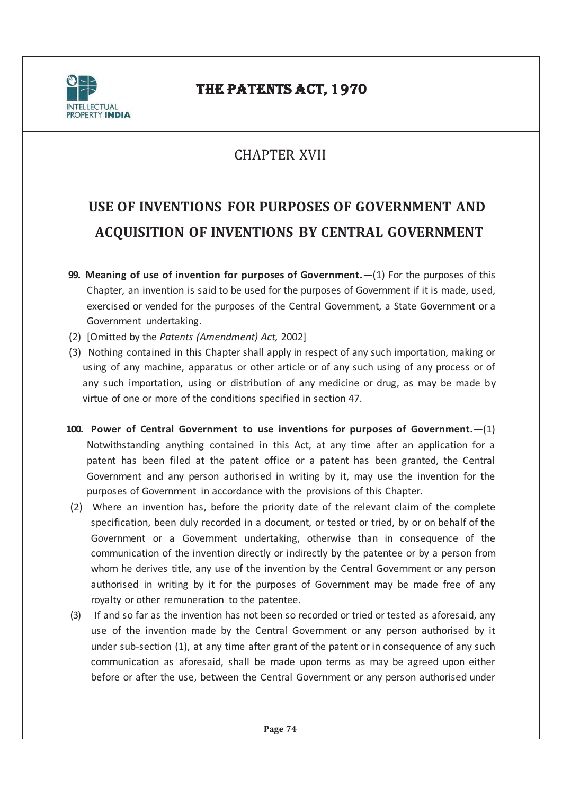

### CHAPTER XVII

# USE OF INVENTIONS FOR PURPOSES OF GOVERNMENT AND **ACQUISITION OF INVENTIONS BY CENTRAL GOVERNMENT**

- **99. Meaning of use of invention for purposes of Government.** (1) For the purposes of this Chapter, an invention is said to be used for the purposes of Government if it is made, used, exercised or vended for the purposes of the Central Government, a State Government or a Government undertaking.
- (2) [Omitted by the *Patents (Amendment) Act,* 2002]
- (3) Nothing contained in this Chapter shall apply in respect of any such importation, making or using of any machine, apparatus or other article or of any such using of any process or of any such importation, using or distribution of any medicine or drug, as may be made by virtue of one or more of the conditions specified in section 47.
- **100. Power of Central Government to use inventions for purposes of Government.**—(1) Notwithstanding anything contained in this Act, at any time after an application for a patent has been filed at the patent office or a patent has been granted, the Central Government and any person authorised in writing by it, may use the invention for the purposes of Government in accordance with the provisions of this Chapter.
- (2) Where an invention has, before the priority date of the relevant claim of the complete specification, been duly recorded in a document, or tested or tried, by or on behalf of the Government or a Government undertaking, otherwise than in consequence of the authorised in writing by it for the purposes of Government may be made free of any royalty or other remuneration to the patentee. communication of the invention directly or indirectly by the patentee or by a person from whom he derives title, any use of the invention by the Central Government or any person
- (3) If and so far as the invention has not been so recorded or tried or tested as aforesaid, any under sub-section (1), at any time after grant of the patent or in consequence of any such communication as aforesaid, shall be made upon terms as may be agreed upon either before or after the use, between the Central Government or any person authorised under use of the invention made by the Central Government or any person authorised by it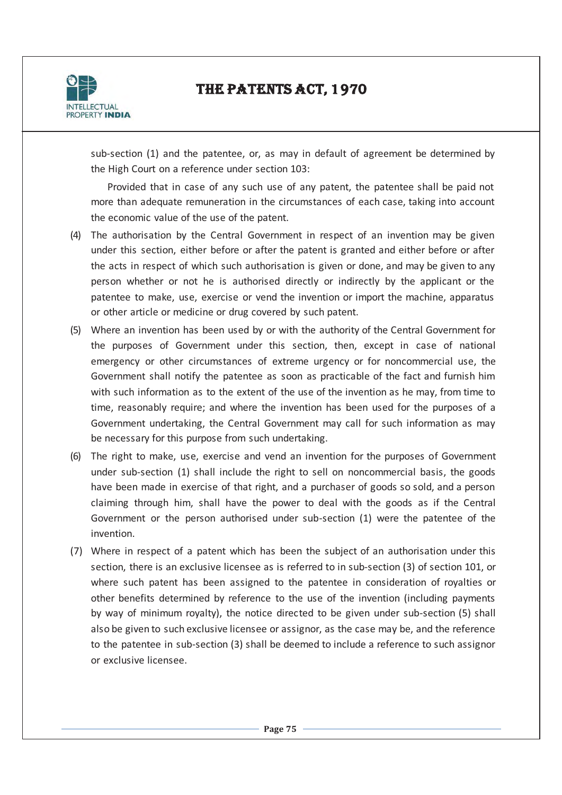

 sub-section (1) and the patentee, or, as may in default of agreement be determined by the High Court on a reference under section 103:

 Provided that in case of any such use of any patent, the patentee shall be paid not more than adequate remuneration in the circumstances of each case, taking into account the economic value of the use of the patent.

- (4) The authorisation by the Central Government in respect of an invention may be given under this section, either before or after the patent is granted and either before or after the acts in respect of which such authorisation is given or done, and may be given to any person whether or not he is authorised directly or indirectly by the applicant or the patentee to make, use, exercise or vend the invention or import the machine, apparatus or other article or medicine or drug covered by such patent.
- (5) Where an invention has been used by or with the authority of the Central Government for emergency or other circumstances of extreme urgency or for noncommercial use, the Government shall notify the patentee as soon as practicable of the fact and furnish him with such information as to the extent of the use of the invention as he may, from time to the purposes of Government under this section, then, except in case of national time, reasonably require; and where the invention has been used for the purposes of a Government undertaking, the Central Government may call for such information as may be necessary for this purpose from such undertaking.
- (6) The right to make, use, exercise and vend an invention for the purposes of Government have been made in exercise of that right, and a purchaser of goods so sold, and a person claiming through him, shall have the power to deal with the goods as if the Central Government or the person authorised under sub-section (1) were the patentee of the under sub-section (1) shall include the right to sell on noncommercial basis, the goods invention.
- (7) Where in respect of a patent which has been the subject of an authorisation under this where such patent has been assigned to the patentee in consideration of royalties or also be given to such exclusive licensee or assignor, as the case may be, and the reference to the patentee in sub-section (3) shall be deemed to include a reference to such assignor section, there is an exclusive licensee as is referred to in sub-section (3) of section 101, or other benefits determined by reference to the use of the invention (including payments by way of minimum royalty), the notice directed to be given under sub-section (5) shall or exclusive licensee.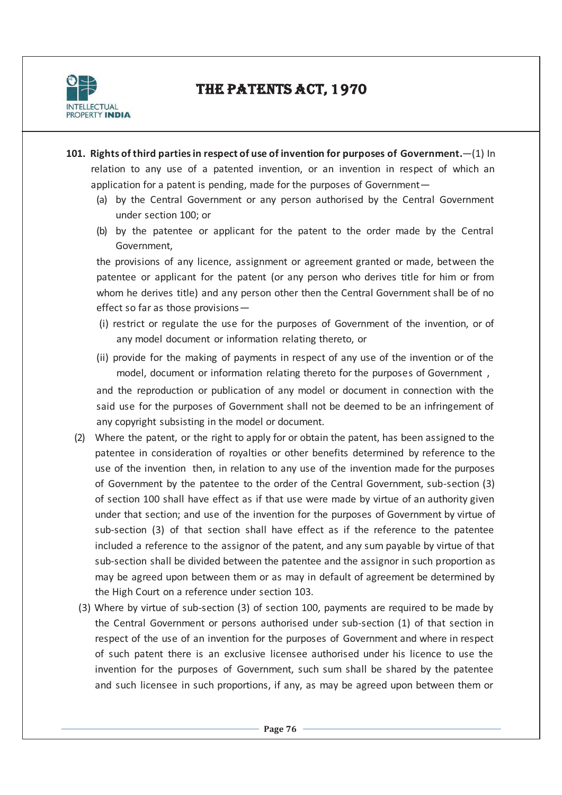

- **101. Rights of third parties in respect of use of invention for purposes of Government.**—(1) In relation to any use of a patented invention, or an invention in respect of which an application for a patent is pending, made for the purposes of Government—
	- (a) by the Central Government or any person authorised by the Central Government under section 100; or
	- (b) by the patentee or applicant for the patent to the order made by the Central Government,

 the provisions of any licence, assignment or agreement granted or made, between the patentee or applicant for the patent (or any person who derives title for him or from whom he derives title) and any person other then the Central Government shall be of no effect so far as those provisions—

- (i) restrict or regulate the use for the purposes of Government of the invention, or of any model document or information relating thereto, or
- (ii) provide for the making of payments in respect of any use of the invention or of the model, document or information relating thereto for the purposes of Government ,

 said use for the purposes of Government shall not be deemed to be an infringement of and the reproduction or publication of any model or document in connection with the any copyright subsisting in the model or document.

- (2) Where the patent, or the right to apply for or obtain the patent, has been assigned to the patentee in consideration of royalties or other benefits determined by reference to the use of the invention then, in relation to any use of the invention made for the purposes of Government by the patentee to the order of the Central Government, sub-section (3) of section 100 shall have effect as if that use were made by virtue of an authority given under that section; and use of the invention for the purposes of Government by virtue of sub-section (3) of that section shall have effect as if the reference to the patentee included a reference to the assignor of the patent, and any sum payable by virtue of that may be agreed upon between them or as may in default of agreement be determined by sub-section shall be divided between the patentee and the assignor in such proportion as the High Court on a reference under section 103.
- (3) Where by virtue of sub-section (3) of section 100, payments are required to be made by respect of the use of an invention for the purposes of Government and where in respect of such patent there is an exclusive licensee authorised under his licence to use the invention for the purposes of Government, such sum shall be shared by the patentee and such licensee in such proportions, if any, as may be agreed upon between them or the Central Government or persons authorised under sub-section (1) of that section in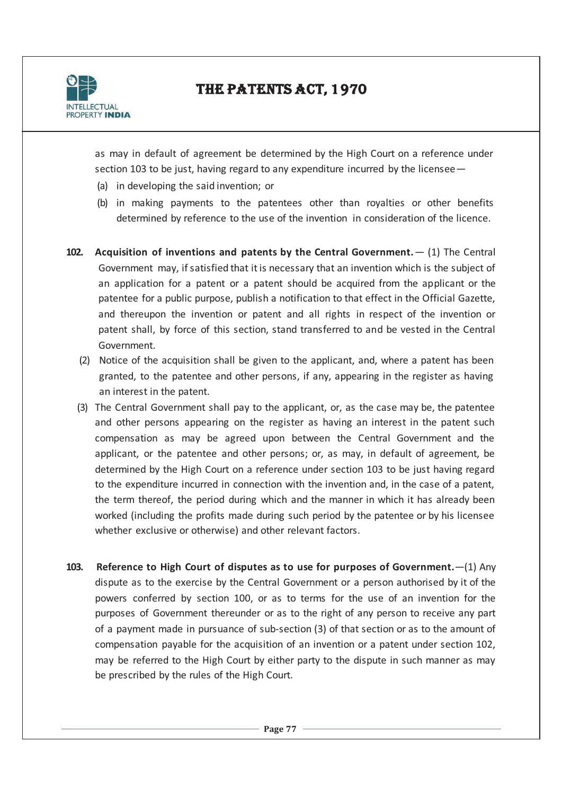

 as may in default of agreement be determined by the High Court on a reference under section 103 to be just, having regard to any expenditure incurred by the licensee —

- (a) in developing the said invention; or
- (b) in making payments to the patentees other than royalties or other benefits determined by reference to the use of the invention in consideration of the licence.
- 102. Acquisition of inventions and patents by the Central Government. (1) The Central Government may, if satisfied that it is necessary that an invention which is the subject of an application for a patent or a patent should be acquired from the applicant or the and thereupon the invention or patent and all rights in respect of the invention or patent shall, by force of this section, stand transferred to and be vested in the Central patentee for a public purpose, publish a notification to that effect in the Official Gazette, Government.
	- (2) Notice of the acquisition shall be given to the applicant, and, where a patent has been granted, to the patentee and other persons, if any, appearing in the register as having an interest in the patent.
	- (3) The Central Government shall pay to the applicant, or, as the case may be, the patentee and other persons appearing on the register as having an interest in the patent such applicant, or the patentee and other persons; or, as may, in default of agreement, be determined by the High Court on a reference under section 103 to be just having regard to the expenditure incurred in connection with the invention and, in the case of a patent, the term thereof, the period during which and the manner in which it has already been worked (including the profits made during such period by the patentee or by his licensee compensation as may be agreed upon between the Central Government and the whether exclusive or otherwise) and other relevant factors.
- $103.$  dispute as to the exercise by the Central Government or a person authorised by it of the powers conferred by section 100, or as to terms for the use of an invention for the purposes of Government thereunder or as to the right of any person to receive any part of a payment made in pursuance of sub-section (3) of that section or as to the amount of may be referred to the High Court by either party to the dispute in such manner as may **103. Reference to High Court of disputes as to use for purposes of Government.**—(1) Any compensation payable for the acquisition of an invention or a patent under section 102, be prescribed by the rules of the High Court.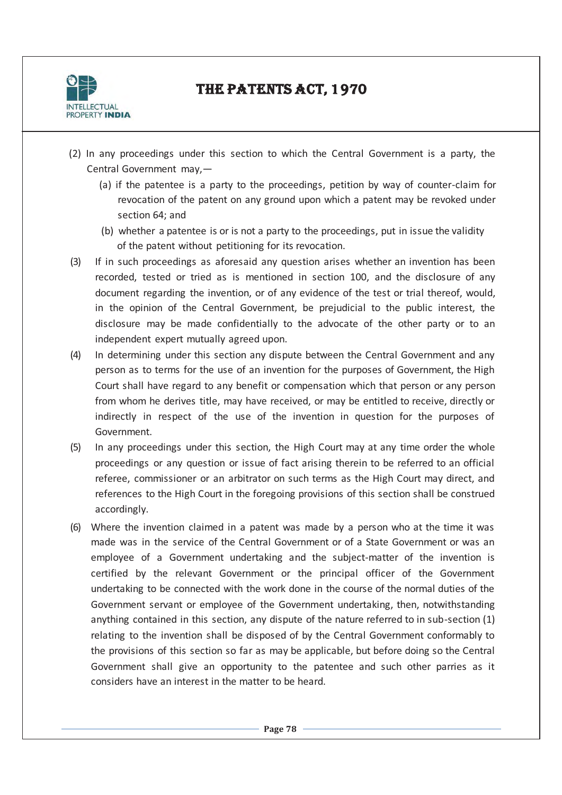

- (2) In any proceedings under this section to which the Central Government is a party, the Central Government may,—
	- (a) if the patentee is a party to the proceedings, petition by way of counter-claim for revocation of the patent on any ground upon which a patent may be revoked under section 64; and
	- (b) whether a patentee is or is not a party to the proceedings, put in issue the validity of the patent without petitioning for its revocation.
- (3) If in such proceedings as aforesaid any question arises whether an invention has been recorded, tested or tried as is mentioned in section 100, and the disclosure of any document regarding the invention, or of any evidence of the test or trial thereof, would, independent expert mutually agreed upon. in the opinion of the Central Government, be prejudicial to the public interest, the disclosure may be made confidentially to the advocate of the other party or to an
- (4) In determining under this section any dispute between the Central Government and any person as to terms for the use of an invention for the purposes of Government, the High Court shall have regard to any benefit or compensation which that person or any person from whom he derives title, may have received, or may be entitled to receive, directly or indirectly in respect of the use of the invention in question for the purposes of Government.
- (5) In any proceedings under this section, the High Court may at any time order the whole proceedings or any question or issue of fact arising therein to be referred to an official referee, commissioner or an arbitrator on such terms as the High Court may direct, and references to the High Court in the foregoing provisions of this section shall be construed accordingly.
- (6) Where the invention claimed in a patent was made by a person who at the time it was made was in the service of the Central Government or of a State Government or was an employee of a Government undertaking and the subject-matter of the invention is undertaking to be connected with the work done in the course of the normal duties of the Government servant or employee of the Government undertaking, then, notwithstanding anything contained in this section, any dispute of the nature referred to in sub-section (1) relating to the invention shall be disposed of by the Central Government conformably to the provisions of this section so far as may be applicable, but before doing so the Central Government shall give an opportunity to the patentee and such other parries as it considers have an interest in the matter to be heard. certified by the relevant Government or the principal officer of the Government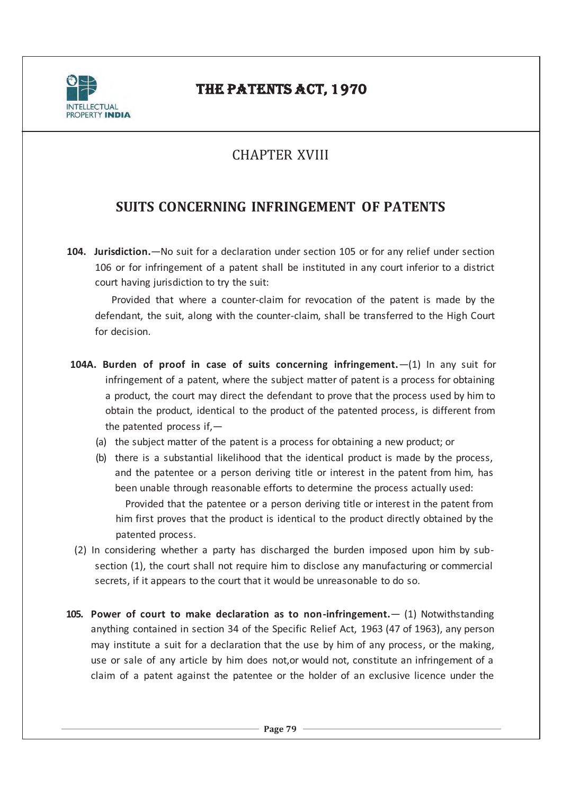

### CHAPTER XVIII

#### **SUITS CONCERNING INFRINGEMENT OF PATENTS SUITS CONCERNING INFRINGEMENT OF PATENTS**

 106 or for infringement of a patent shall be instituted in any court inferior to a district court having jurisdiction to try the suit: **104. Jurisdiction.**—No suit for a declaration under section 105 or for any relief under section

 Provided that where a counter-claim for revocation of the patent is made by the defendant, the suit, along with the counter-claim, shall be transferred to the High Court for decision.

- infringement of a patent, where the subject matter of patent is a process for obtaining a product, the court may direct the defendant to prove that the process used by him to obtain the product, identical to the product of the patented process, is different from **104A. Burden of proof in case of suits concerning infringement.**—(1) In any suit for the patented process if,—
	- (a) the subject matter of the patent is a process for obtaining a new product; or
	- (b) there is a substantial likelihood that the identical product is made by the process, and the patentee or a person deriving title or interest in the patent from him, has been unable through reasonable efforts to determine the process actually used: Provided that the patentee or a person deriving title or interest in the patent from him first proves that the product is identical to the product directly obtained by the patented process.
- (2) In considering whether a party has discharged the burden imposed upon him by sub- section (1), the court shall not require him to disclose any manufacturing or commercial secrets, if it appears to the court that it would be unreasonable to do so.
- **105. Power of court to make declaration as to non-infringement.** (1) Notwithstanding anything contained in section 34 of the Specific Relief Act, 1963 (47 of 1963), any person may institute a suit for a declaration that the use by him of any process, or the making, use or sale of any article by him does not,or would not, constitute an infringement of a claim of a patent against the patentee or the holder of an exclusive licence under the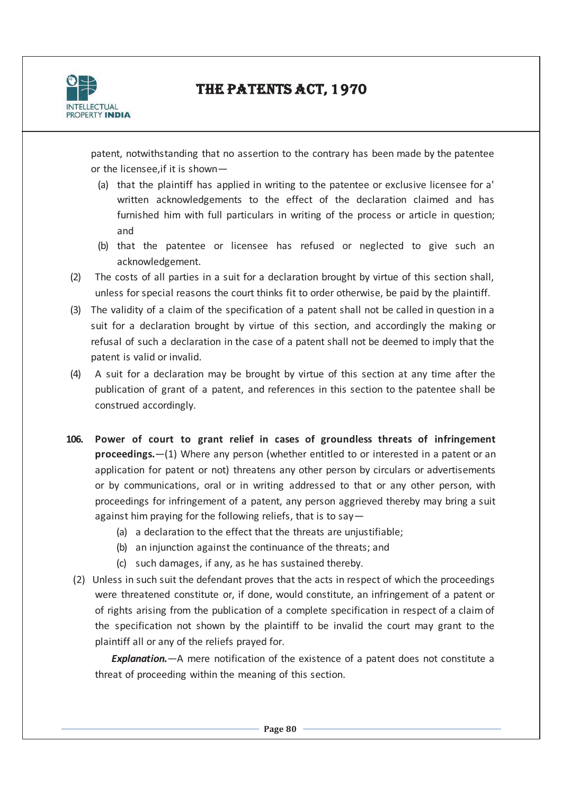

 patent, notwithstanding that no assertion to the contrary has been made by the patentee or the licensee,if it is shown—

- (a) that the plaintiff has applied in writing to the patentee or exclusive licensee for a' written acknowledgements to the effect of the declaration claimed and has furnished him with full particulars in writing of the process or article in question; and
- (b) that the patentee or licensee has refused or neglected to give such an acknowledgement.
- unless for special reasons the court thinks fit to order otherwise, be paid by the plaintiff. (2) The costs of all parties in a suit for a declaration brought by virtue of this section shall,
- (3) The validity of a claim of the specification of a patent shall not be called in question in a suit for a declaration brought by virtue of this section, and accordingly the making or refusal of such a declaration in the case of a patent shall not be deemed to imply that the patent is valid or invalid.
- (4) A suit for a declaration may be brought by virtue of this section at any time after the publication of grant of a patent, and references in this section to the patentee shall be construed accordingly.
- **106. Power of court to grant relief in cases of groundless threats of infringement proceedings.**—(1) Where any person (whether entitled to or interested in a patent or an application for patent or not) threatens any other person by circulars or advertisements proceedings for infringement of a patent, any person aggrieved thereby may bring a suit or by communications, oral or in writing addressed to that or any other person, with against him praying for the following reliefs, that is to say—
	- (a) a declaration to the effect that the threats are unjustifiable;
	- (b) an injunction against the continuance of the threats; and
	- (c) such damages, if any, as he has sustained thereby.
- (2) Unless in such suit the defendant proves that the acts in respect of which the proceedings were threatened constitute or, if done, would constitute, an infringement of a patent or of rights arising from the publication of a complete specification in respect of a claim of the specification not shown by the plaintiff to be invalid the court may grant to the plaintiff all or any of the reliefs prayed for.

 *Explanation.*—A mere notification of the existence of a patent does not constitute a threat of proceeding within the meaning of this section.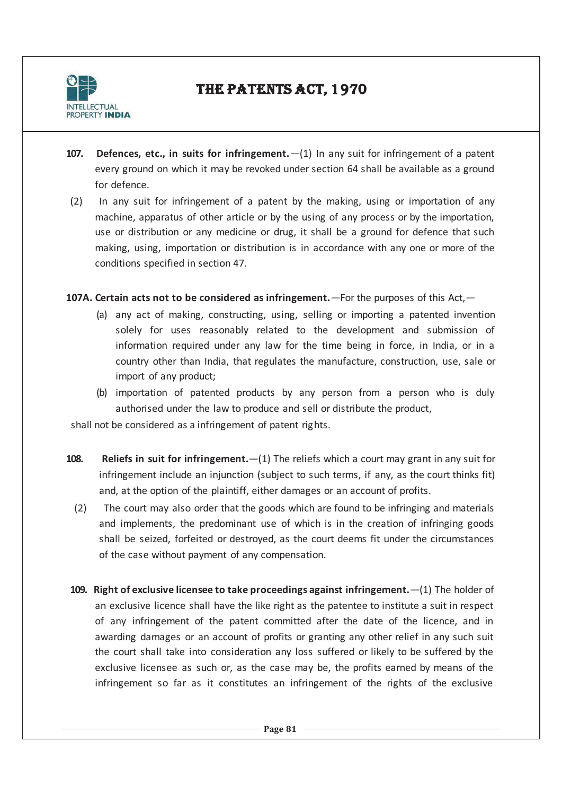

- **107.**  every ground on which it may be revoked under section 64 shall be available as a ground **Defences, etc., in suits for infringement.**—(1) In any suit for infringement of a patent for defence.
- $(2)$  machine, apparatus of other article or by the using of any process or by the importation, use or distribution or any medicine or drug, it shall be a ground for defence that such making, using, importation or distribution is in accordance with any one or more of the In any suit for infringement of a patent by the making, using or importation of any conditions specified in section 47.

**107A. Certain acts not to be considered as infringement.**—For the purposes of this Act,—

- country other than India, that regulates the manufacture, construction, use, sale or (a) any act of making, constructing, using, selling or importing a patented invention solely for uses reasonably related to the development and submission of information required under any law for the time being in force, in India, or in a import of any product;
- authorised under the law to produce and sell or distribute the product, (b) importation of patented products by any person from a person who is duly

shall not be considered as a infringement of patent rights.

- 108. Reliefs in suit for infringement. (1) The reliefs which a court may grant in any suit for infringement include an injunction (subject to such terms, if any, as the court thinks fit) and, at the option of the plaintiff, either damages or an account of profits.
	- $(2)$  and implements, the predominant use of which is in the creation of infringing goods shall be seized, forfeited or destroyed, as the court deems fit under the circumstances The court may also order that the goods which are found to be infringing and materials of the case without payment of any compensation.
- **109. Right of exclusive licensee to take proceedings against infringement.**—(1) The holder of an exclusive licence shall have the like right as the patentee to institute a suit in respect of any infringement of the patent committed after the date of the licence, and in awarding damages or an account of profits or granting any other relief in any such suit the court shall take into consideration any loss suffered or likely to be suffered by the exclusive licensee as such or, as the case may be, the profits earned by means of the infringement so far as it constitutes an infringement of the rights of the exclusive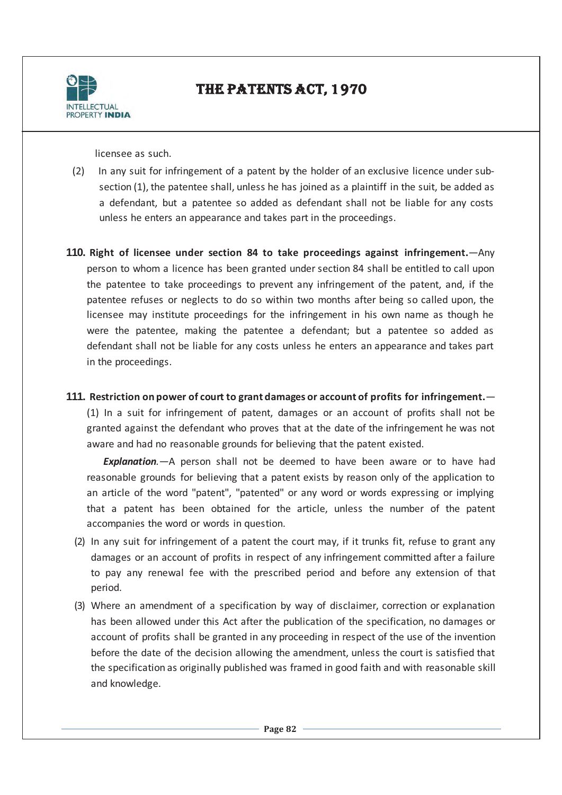

licensee as such.

- (2) In any suit for infringement of a patent by the holder of an exclusive licence under sub- section (1), the patentee shall, unless he has joined as a plaintiff in the suit, be added as a defendant, but a patentee so added as defendant shall not be liable for any costs unless he enters an appearance and takes part in the proceedings.
- person to whom a licence has been granted under section 84 shall be entitled to call upon the patentee to take proceedings to prevent any infringement of the patent, and, if the patentee refuses or neglects to do so within two months after being so called upon, the licensee may institute proceedings for the infringement in his own name as though he defendant shall not be liable for any costs unless he enters an appearance and takes part **110. Right of licensee under section 84 to take proceedings against infringement.**—Any were the patentee, making the patentee a defendant; but a patentee so added as in the proceedings.
- **111. Restriction on power of court to grant damages or account of profits for infringement.** (1) In a suit for infringement of patent, damages or an account of profits shall not be granted against the defendant who proves that at the date of the infringement he was not aware and had no reasonable grounds for believing that the patent existed.

 reasonable grounds for believing that a patent exists by reason only of the application to that a patent has been obtained for the article, unless the number of the patent accompanies the word or words in question. *Explanation.*—A person shall not be deemed to have been aware or to have had an article of the word "patent", "patented" or any word or words expressing or implying

- (2) In any suit for infringement of a patent the court may, if it trunks fit, refuse to grant any damages or an account of profits in respect of any infringement committed after a failure to pay any renewal fee with the prescribed period and before any extension of that period.
- (3) Where an amendment of a specification by way of disclaimer, correction or explanation has been allowed under this Act after the publication of the specification, no damages or account of profits shall be granted in any proceeding in respect of the use of the invention before the date of the decision allowing the amendment, unless the court is satisfied that the specification as originally published was framed in good faith and with reasonable skill and knowledge.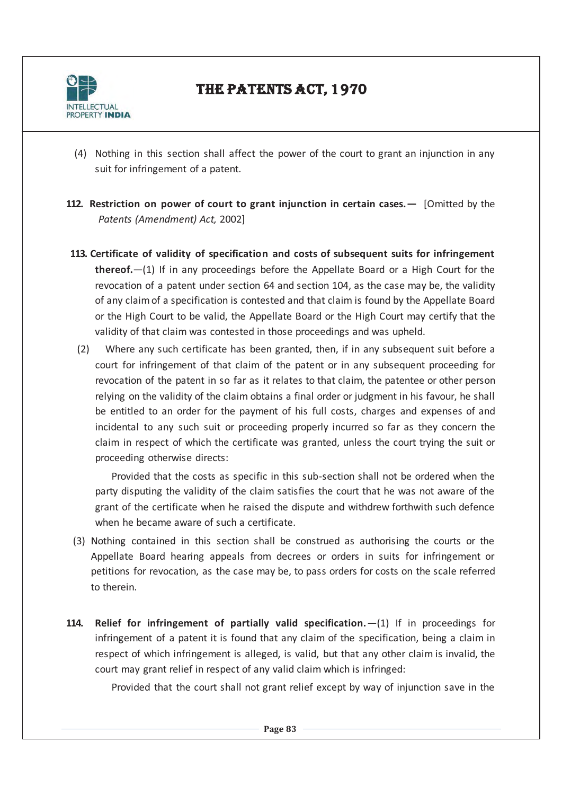

- (4) Nothing in this section shall affect the power of the court to grant an injunction in any suit for infringement of a patent.
- 112. Restriction on power of court to grant injunction in certain cases. [Omitted by the  *Patents (Amendment) Act,* 2002]
- 113. Certificate of validity of specification and costs of subsequent suits for infringement **thereof.**—(1) If in any proceedings before the Appellate Board or a High Court for the revocation of a patent under section 64 and section 104, as the case may be, the validity of any claim of a specification is contested and that claim is found by the Appellate Board or the High Court to be valid, the Appellate Board or the High Court may certify that the validity of that claim was contested in those proceedings and was upheld.
- $(2)$  revocation of the patent in so far as it relates to that claim, the patentee or other person be entitled to an order for the payment of his full costs, charges and expenses of and incidental to any such suit or proceeding properly incurred so far as they concern the claim in respect of which the certificate was granted, unless the court trying the suit or Where any such certificate has been granted, then, if in any subsequent suit before a court for infringement of that claim of the patent or in any subsequent proceeding for relying on the validity of the claim obtains a final order or judgment in his favour, he shall proceeding otherwise directs:

 party disputing the validity of the claim satisfies the court that he was not aware of the grant of the certificate when he raised the dispute and withdrew forthwith such defence Provided that the costs as specific in this sub-section shall not be ordered when the when he became aware of such a certificate.

- (3) Nothing contained in this section shall be construed as authorising the courts or the Appellate Board hearing appeals from decrees or orders in suits for infringement or petitions for revocation, as the case may be, to pass orders for costs on the scale referred to therein.
- respect of which infringement is alleged, is valid, but that any other claim is invalid, the court may grant relief in respect of any valid claim which is infringed: **114.** Relief for infringement of partially valid specification.  $-(1)$  If in proceedings for infringement of a patent it is found that any claim of the specification, being a claim in

Provided that the court shall not grant relief except by way of injunction save in the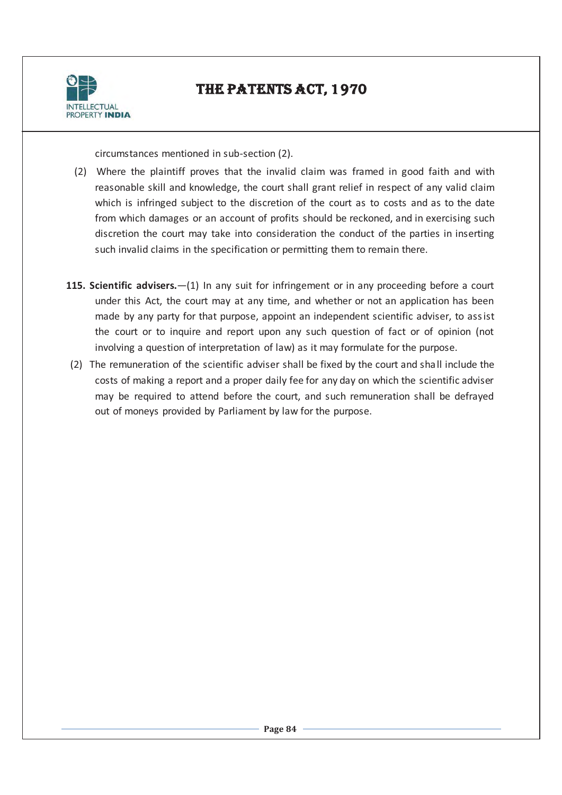

circumstances mentioned in sub-section (2).

- which is infringed subject to the discretion of the court as to costs and as to the date from which damages or an account of profits should be reckoned, and in exercising such discretion the court may take into consideration the conduct of the parties in inserting (2) Where the plaintiff proves that the invalid claim was framed in good faith and with reasonable skill and knowledge, the court shall grant relief in respect of any valid claim such invalid claims in the specification or permitting them to remain there.
- **115. Scientific advisers.**—(1) In any suit for infringement or in any proceeding before a court under this Act, the court may at any time, and whether or not an application has been made by any party for that purpose, appoint an independent scientific adviser, to ass ist the court or to inquire and report upon any such question of fact or of opinion (not involving a question of interpretation of law) as it may formulate for the purpose.
- (2) The remuneration of the scientific adviser shall be fixed by the court and shall include the costs of making a report and a proper daily fee for any day on which the scientific adviser may be required to attend before the court, and such remuneration shall be defrayed out of moneys provided by Parliament by law for the purpose.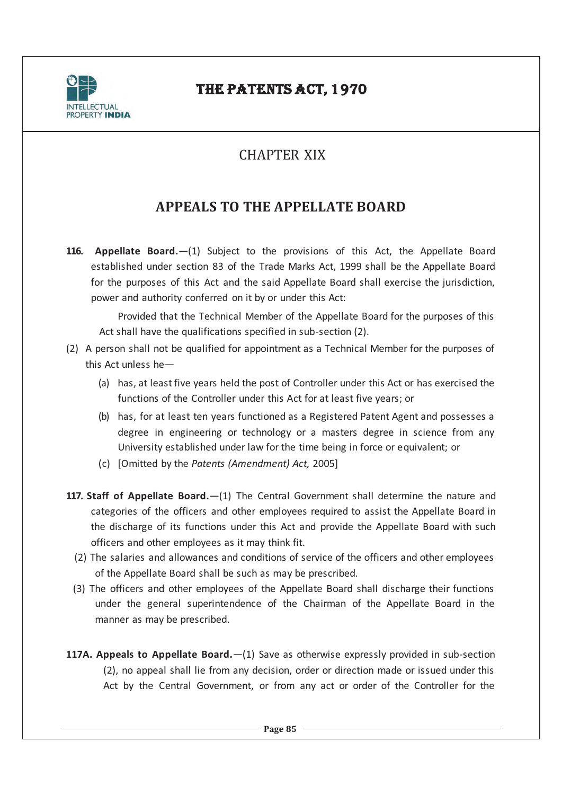

### CHAPTER XIX

### **APPEALS TO THE APPELLATE BOARD**

116. Appellate Board.-(1) Subject to the provisions of this Act, the Appellate Board established under section 83 of the Trade Marks Act, 1999 shall be the Appellate Board for the purposes of this Act and the said Appellate Board shall exercise the jurisdiction, power and authority conferred on it by or under this Act:

 Provided that the Technical Member of the Appellate Board for the purposes of this Act shall have the qualifications specified in sub-section (2).

- (2) A person shall not be qualified for appointment as a Technical Member for the purposes of this Act unless he—
	- (a) has, at least five years held the post of Controller under this Act or has exercised the functions of the Controller under this Act for at least five years; or
	- (b) has, for at least ten years functioned as a Registered Patent Agent and possesses a degree in engineering or technology or a masters degree in science from any University established under law for the time being in force or equivalent; or
	- (c) [Omitted by the *Patents (Amendment) Act,* 2005]
- **117. Staff of Appellate Board.**—(1) The Central Government shall determine the nature and categories of the officers and other employees required to assist the Appellate Board in the discharge of its functions under this Act and provide the Appellate Board with such officers and other employees as it may think fit.
	- (2) The salaries and allowances and conditions of service of the officers and other employees of the Appellate Board shall be such as may be prescribed.
	- (3) The officers and other employees of the Appellate Board shall discharge their functions under the general superintendence of the Chairman of the Appellate Board in the manner as may be prescribed.
- Act by the Central Government, or from any act or order of the Controller for the **117A. Appeals to Appellate Board.**—(1) Save as otherwise expressly provided in sub-section (2), no appeal shall lie from any decision, order or direction made or issued under this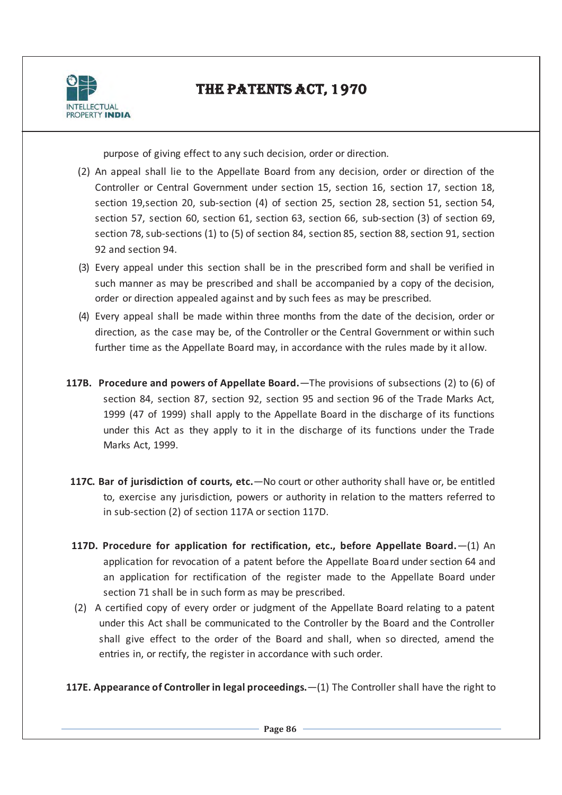

purpose of giving effect to any such decision, order or direction.

- section 19,section 20, sub-section (4) of section 25, section 28, section 51, section 54, section 57, section 60, section 61, section 63, section 66, sub-section (3) of section 69, section 78, sub-sections (1) to (5) of section 84, section 85, section 88, section 91, section (2) An appeal shall lie to the Appellate Board from any decision, order or direction of the Controller or Central Government under section 15, section 16, section 17, section 18, 92 and section 94.
- (3) Every appeal under this section shall be in the prescribed form and shall be verified in such manner as may be prescribed and shall be accompanied by a copy of the decision, order or direction appealed against and by such fees as may be prescribed.
- direction, as the case may be, of the Controller or the Central Government or within such (4) Every appeal shall be made within three months from the date of the decision, order or further time as the Appellate Board may, in accordance with the rules made by it allow.
- **117B. Procedure and powers of Appellate Board.**—The provisions of subsections (2) to (6) of section 84, section 87, section 92, section 95 and section 96 of the Trade Marks Act, under this Act as they apply to it in the discharge of its functions under the Trade 1999 (47 of 1999) shall apply to the Appellate Board in the discharge of its functions Marks Act, 1999.
- to, exercise any jurisdiction, powers or authority in relation to the matters referred to **117C. Bar of jurisdiction of courts, etc.**—No court or other authority shall have or, be entitled in sub-section (2) of section 117A or section 117D.
- application for revocation of a patent before the Appellate Board under section 64 and **117D. Procedure for application for rectification, etc., before Appellate Board.**—(1) An an application for rectification of the register made to the Appellate Board under section 71 shall be in such form as may be prescribed.
- (2) A certified copy of every order or judgment of the Appellate Board relating to a patent shall give effect to the order of the Board and shall, when so directed, amend the under this Act shall be communicated to the Controller by the Board and the Controller entries in, or rectify, the register in accordance with such order.

**117E. Appearance of Controller in legal proceedings.**—(1) The Controller shall have the right to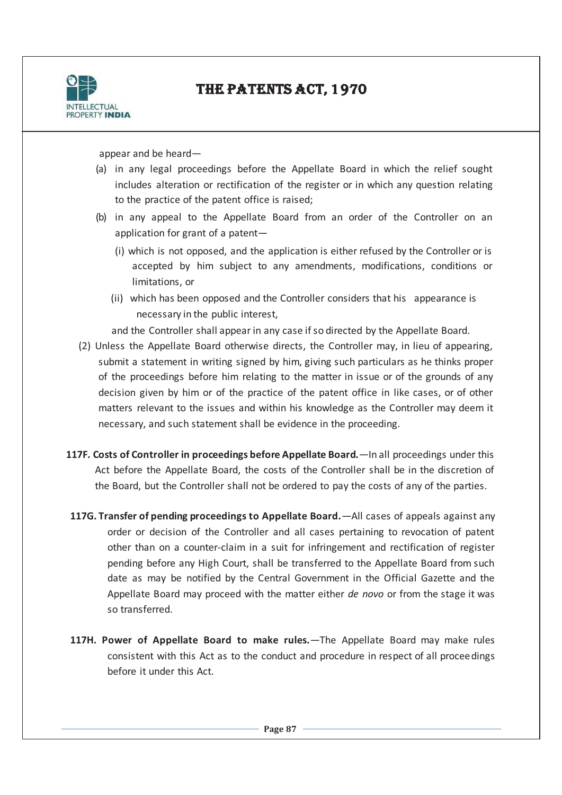

appear and be heard—

- (a) in any legal proceedings before the Appellate Board in which the relief sought includes alteration or rectification of the register or in which any question relating to the practice of the patent office is raised;
- (b) in any appeal to the Appellate Board from an order of the Controller on an application for grant of a patent—
	- (i) which is not opposed, and the application is either refused by the Controller or is accepted by him subject to any amendments, modifications, conditions or limitations, or
	- necessary in the public interest, (ii) which has been opposed and the Controller considers that his appearance is

and the Controller shall appear in any case if so directed by the Appellate Board.

- (2) Unless the Appellate Board otherwise directs, the Controller may, in lieu of appearing, submit a statement in writing signed by him, giving such particulars as he thinks proper of the proceedings before him relating to the matter in issue or of the grounds of any decision given by him or of the practice of the patent office in like cases, or of other matters relevant to the issues and within his knowledge as the Controller may deem it necessary, and such statement shall be evidence in the proceeding.
- Act before the Appellate Board, the costs of the Controller shall be in the discretion of the Board, but the Controller shall not be ordered to pay the costs of any of the parties. **117F. Costs of Controller in proceedings before Appellate Board.**—In all proceedings under this
	- **117G. Transfer of pending proceedings to Appellate Board.**—All cases of appeals against any order or decision of the Controller and all cases pertaining to revocation of patent other than on a counter-claim in a suit for infringement and rectification of register pending before any High Court, shall be transferred to the Appellate Board from such date as may be notified by the Central Government in the Official Gazette and the Appellate Board may proceed with the matter either *de novo* or from the stage it was so transferred.
	- **117H. Power of Appellate Board to make rules.**—The Appellate Board may make rules consistent with this Act as to the conduct and procedure in respect of all proceedings before it under this Act.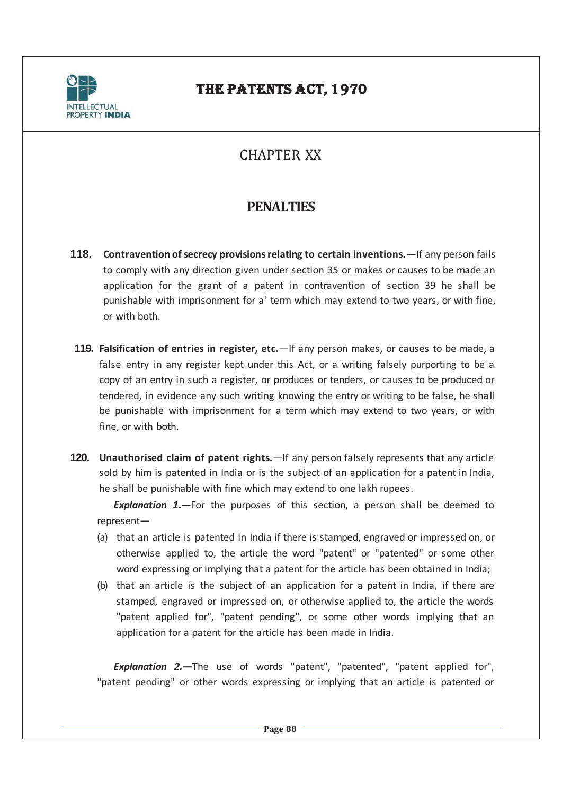

### CHAPTER XX

#### **PENALTIES**

- to comply with any direction given under section 35 or makes or causes to be made an application for the grant of a patent in contravention of section 39 he shall be punishable with imprisonment for a' term which may extend to two years, or with fine, **118. Contravention of secrecy provisions relating to certain inventions.**—If any person fails or with both.
- **119. Falsification of entries in register, etc.**—If any person makes, or causes to be made, a false entry in any register kept under this Act, or a writing falsely purporting to be a copy of an entry in such a register, or produces or tenders, or causes to be produced or tendered, in evidence any such writing knowing the entry or writing to be false, he sha ll be punishable with imprisonment for a term which may extend to two years, or with fine, or with both.
- **120. Unauthorised claim of patent rights.**—If any person falsely represents that any article sold by him is patented in India or is the subject of an application for a patent in India, he shall be punishable with fine which may extend to one lakh rupees .

*Explanation 1***.—**For the purposes of this section, a person shall be deemed to represent—

- (a) that an article is patented in India if there is stamped, engraved or impressed on, or otherwise applied to, the article the word "patent" or "patented" or some other word expressing or implying that a patent for the article has been obtained in India;
- (b) that an article is the subject of an application for a patent in India, if there are "patent applied for", "patent pending", or some other words implying that an stamped, engraved or impressed on, or otherwise applied to, the article the words application for a patent for the article has been made in India.

 *Explanation 2.***—**The use of words "patent", "patented", "patent applied for", "patent pending" or other words expressing or implying that an article is patented or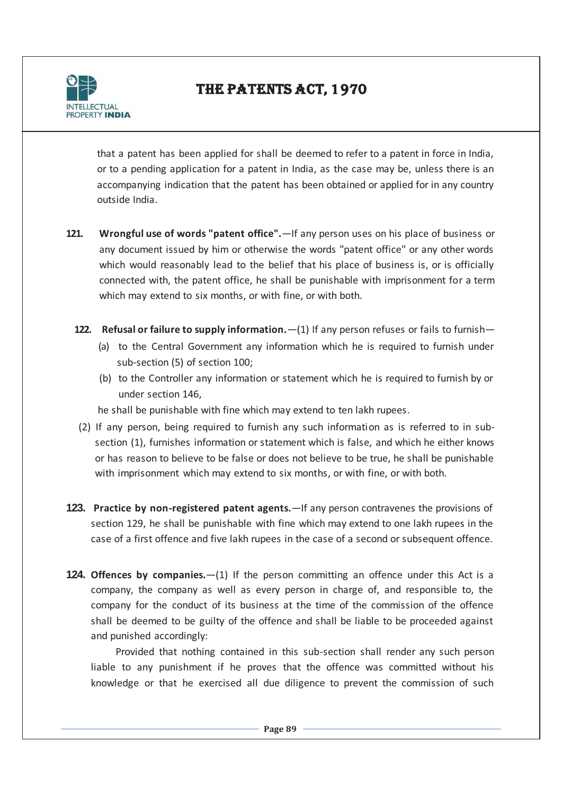

 that a patent has been applied for shall be deemed to refer to a patent in force in India, or to a pending application for a patent in India, as the case may be, unless there is an accompanying indication that the patent has been obtained or applied for in any country outside India.

- **121. Wrongful use of words "patent office".**—If any person uses on his place of business or any document issued by him or otherwise the words "patent office" or any other words which would reasonably lead to the belief that his place of business is, or is officially connected with, the patent office, he shall be punishable with imprisonment for a term which may extend to six months, or with fine, or with both.
	- **122.** Refusal or failure to supply information. —(1) If any person refuses or fails to furnish—
		- (a) to the Central Government any information which he is required to furnish under sub-section (5) of section 100;
		- (b) to the Controller any information or statement which he is required to furnish by or under section 146,

he shall be punishable with fine which may extend to ten lakh rupees.

- (2) If any person, being required to furnish any such information as is referred to in sub- section (1), furnishes information or statement which is false, and which he either knows or has reason to believe to be false or does not believe to be true, he shall be punishable with imprisonment which may extend to six months, or with fine, or with both.
- section 129, he shall be punishable with fine which may extend to one lakh rupees in the **123. Practice by non-registered patent agents.**—If any person contravenes the provisions of case of a first offence and five lakh rupees in the case of a second or subsequent offence.
- **124. Offences by companies.**—(1) If the person committing an offence under this Act is a company for the conduct of its business at the time of the commission of the offence shall be deemed to be guilty of the offence and shall be liable to be proceeded against company, the company as well as every person in charge of, and responsible to, the and punished accordingly:

 Provided that nothing contained in this sub-section shall render any such person liable to any punishment if he proves that the offence was committed without his knowledge or that he exercised all due diligence to prevent the commission of such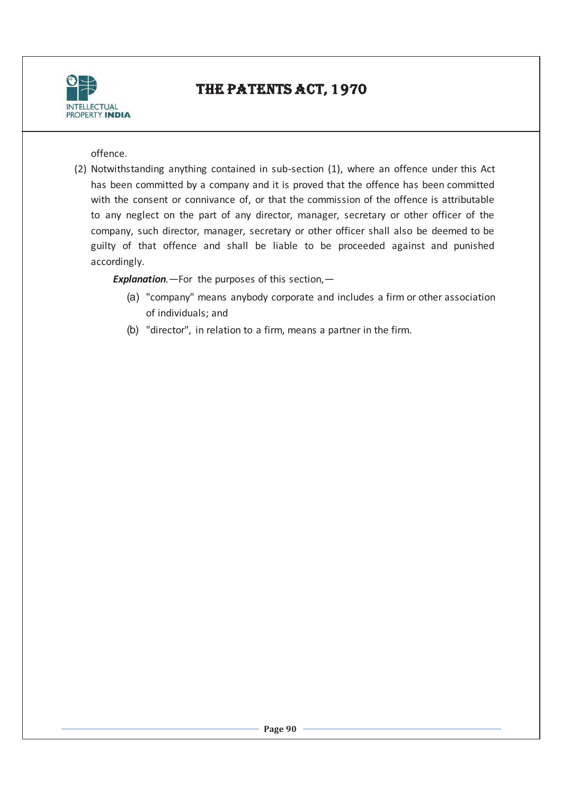

offence.

 (2) Notwithstanding anything contained in sub-section (1), where an offence under this Act with the consent or connivance of, or that the commission of the offence is attributable company, such director, manager, secretary or other officer shall also be deemed to be guilty of that offence and shall be liable to be proceeded against and punished has been committed by a company and it is proved that the offence has been committed to any neglect on the part of any director, manager, secretary or other officer of the accordingly.

*Explanation.*—For the purposes of this section,—

- (a) "company" means anybody corporate and includes a firm or other association of individuals; and
- (b) "director", in relation to a firm, means a partner in the firm.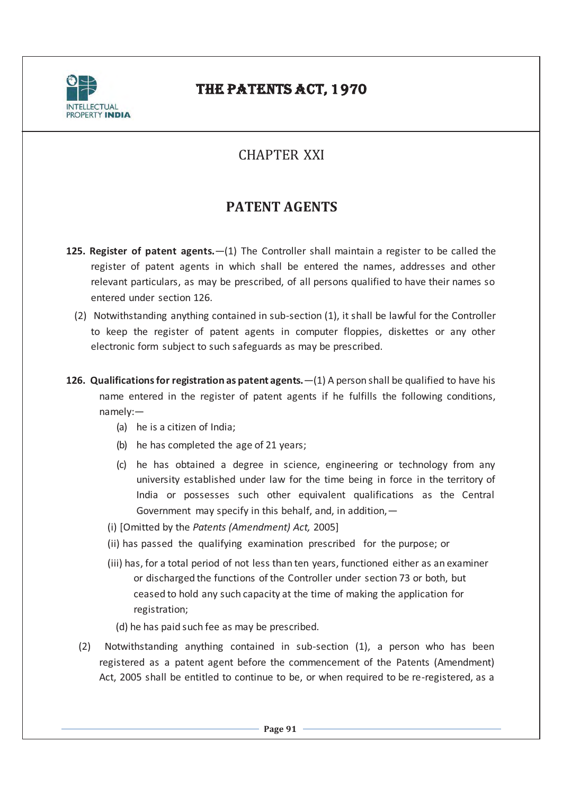

### CHAPTER XXI

### **PATENT AGENTS**

- **125. Register of patent agents.**—(1) The Controller shall maintain a register to be called the register of patent agents in which shall be entered the names, addresses and other relevant particulars, as may be prescribed, of all persons qualified to have their names so entered under section 126.
	- (2) Notwithstanding anything contained in sub-section (1), it shall be lawful for the Controller to keep the register of patent agents in computer floppies, diskettes or any other electronic form subject to such safeguards as may be prescribed.
- **126. Qualifications for registration as patent agents.**—(1) A person shall be qualified to have his name entered in the register of patent agents if he fulfills the following conditions, namely:—
	- (a) he is a citizen of India;
	- (b) he has completed the age of 21 years;
	- (c) he has obtained a degree in science, engineering or technology from any university established under law for the time being in force in the territory of India or possesses such other equivalent qualifications as the Central Government may specify in this behalf, and, in addition,  $-$
	- (i) [Omitted by the *Patents (Amendment) Act,* 2005]
	- (ii) has passed the qualifying examination prescribed for the purpose; or
	- or discharged the functions of the Controller under section 73 or both, but ceased to hold any such capacity at the time of making the application for (iii) has, for a total period of not less than ten years, functioned either as an examiner registration;
		- (d) he has paid such fee as may be prescribed.
	- (2) Notwithstanding anything contained in sub-section (1), a person who has been registered as a patent agent before the commencement of the Patents (Amendment) Act, 2005 shall be entitled to continue to be, or when required to be re-registered, as a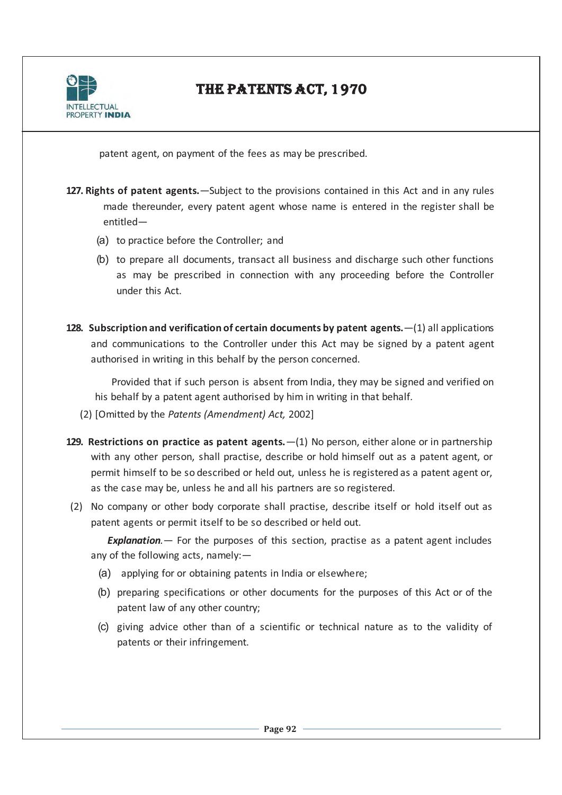

patent agent, on payment of the fees as may be prescribed.

- made thereunder, every patent agent whose name is entered in the register shall be **127. Rights of patent agents.**—Subject to the provisions contained in this Act and in any rules entitled—
	- (a) to practice before the Controller; and
	- (b) to prepare all documents, transact all business and discharge such other functions as may be prescribed in connection with any proceeding before the Controller under this Act.
- **128. Subscription and verification of certain documents by patent agents.**—(1) all applications and communications to the Controller under this Act may be signed by a patent agent authorised in writing in this behalf by the person concerned.

 Provided that if such person is absent from India, they may be signed and verified on his behalf by a patent agent authorised by him in writing in that behalf.

- (2) [Omitted by the *Patents (Amendment) Act,* 2002]
- 129. Restrictions on practice as patent agents. (1) No person, either alone or in partnership with any other person, shall practise, describe or hold himself out as a patent agent, or permit himself to be so described or held out, unless he is registered as a patent agent or, as the case may be, unless he and all his partners are so registered.
- (2) No company or other body corporate shall practise, describe itself or hold itself out as patent agents or permit itself to be so described or held out.

*Explanation.*— For the purposes of this section, practise as a patent agent includes any of the following acts, namely:—

- (a) applying for or obtaining patents in India or elsewhere;
- (b) preparing specifications or other documents for the purposes of this Act or of the patent law of any other country;
- (c) giving advice other than of a scientific or technical nature as to the validity of patents or their infringement.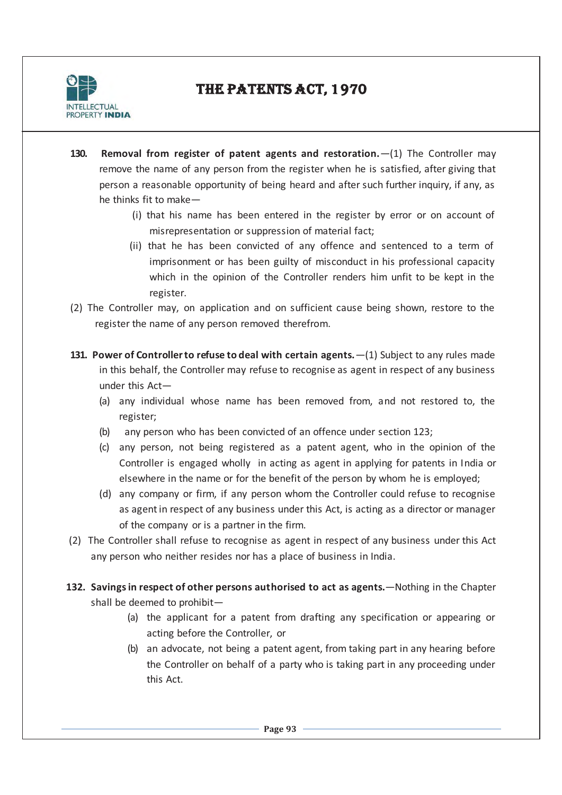

- remove the name of any person from the register when he is satisfied, after giving that person a reasonable opportunity of being heard and after such further inquiry, if any, as **130. Removal from register of patent agents and restoration.**—(1) The Controller may he thinks fit to make—
	- (i) that his name has been entered in the register by error or on account of misrepresentation or suppression of material fact;
	- imprisonment or has been guilty of misconduct in his professional capacity which in the opinion of the Controller renders him unfit to be kept in the (ii) that he has been convicted of any offence and sentenced to a term of register.
- (2) The Controller may, on application and on sufficient cause being shown, restore to the register the name of any person removed therefrom.
- 131. Power of Controller to refuse to deal with certain agents.  $-(1)$  Subject to any rules made in this behalf, the Controller may refuse to recognise as agent in respect of any business under this Act—
	- (a) any individual whose name has been removed from, and not restored to, the register;
	- (b) any person who has been convicted of an offence under section 123;
	- (c) any person, not being registered as a patent agent, who in the opinion of the Controller is engaged wholly in acting as agent in applying for patents in India or elsewhere in the name or for the benefit of the person by whom he is employed;
	- (d) any company or firm, if any person whom the Controller could refuse to recognise as agent in respect of any business under this Act, is acting as a director or manager of the company or is a partner in the firm.
- (2) The Controller shall refuse to recognise as agent in respect of any business under this Act any person who neither resides nor has a place of business in India.
- **132. Savings in respect of other persons aut horised to act as agents.**—Nothing in the Chapter shall be deemed to prohibit—
	- (a) the applicant for a patent from drafting any specification or appearing or acting before the Controller, or
	- (b) an advocate, not being a patent agent, from taking part in any hearing before the Controller on behalf of a party who is taking part in any proceeding under this Act.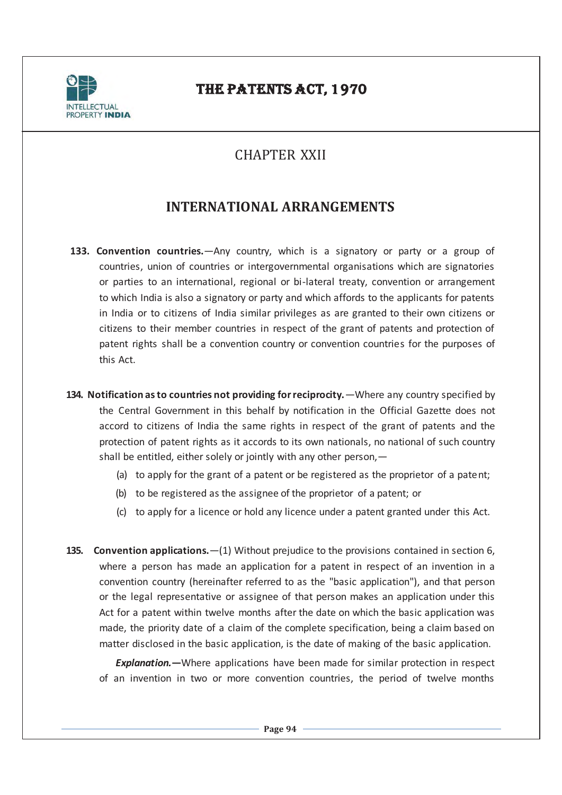

### CHAPTER XXII

### **INTERNATIONAL ARRANGEMENTS**

- countries, union of countries or intergovernmental organisations which are signatories to which India is also a signatory or party and which affords to the applicants for patents in India or to citizens of India similar privileges as are granted to their own citizens or citizens to their member countries in respect of the grant of patents and protection of patent rights shall be a convention country or convention countries for the purposes of **133. Convention countries.**—Any country, which is a signatory or party or a group of or parties to an international, regional or bi-lateral treaty, convention or arrangement this Act.
- shall be entitled, either solely or jointly with any other person, $-$ **134. Notification as to countries not providing for reciprocity.**—Where any country specified by the Central Government in this behalf by notification in the Official Gazette does not accord to citizens of India the same rights in respect of the grant of patents and the protection of patent rights as it accords to its own nationals, no national of such country
	- (a) to apply for the grant of a patent or be registered as the proprietor of a patent;
	- (b) to be registered as the assignee of the proprietor of a patent; or
	- (c) to apply for a licence or hold any licence under a patent granted under this Act.
- where a person has made an application for a patent in respect of an invention in a convention country (hereinafter referred to as the "basic application"), and that person or the legal representative or assignee of that person makes an application under this Act for a patent within twelve months after the date on which the basic application was made, the priority date of a claim of the complete specification, being a claim based on **135. Convention applications.**—(1) Without prejudice to the provisions contained in section 6, matter disclosed in the basic application, is the date of making of the basic application.

 *Explanation.***—**Where applications have been made for similar protection in respect of an invention in two or more convention countries, the period of twelve months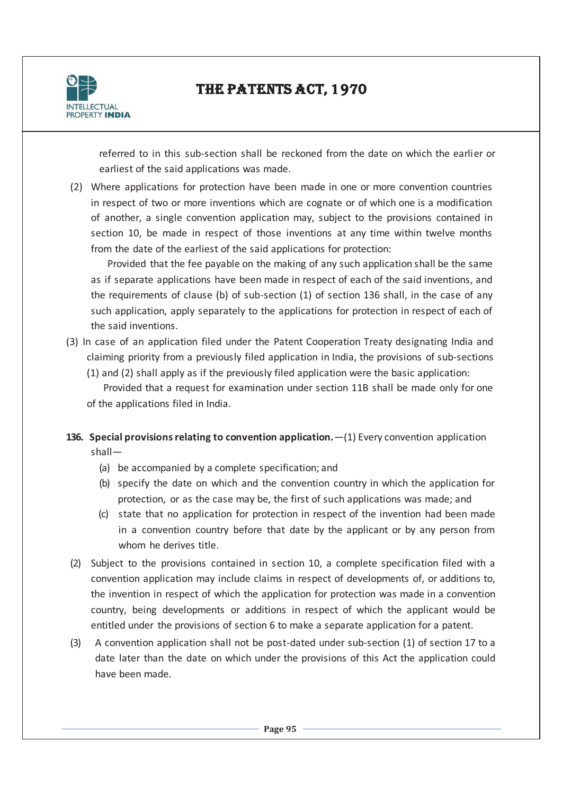

 referred to in this sub-section shall be reckoned from the date on which the earlier or earliest of the said applications was made.

 (2) Where applications for protection have been made in one or more convention countries in respect of two or more inventions which are cognate or of which one is a modification section 10, be made in respect of those inventions at any time within twelve months from the date of the earliest of the said applications for protection: of another, a single convention application may, subject to the provisions contained in

 Provided that the fee payable on the making of any such application shall be the same as if separate applications have been made in respect of each of the said inventions, and such application, apply separately to the applications for protection in respect of each of the requirements of clause (b) of sub-section (1) of section 136 shall, in the case of any the said inventions.

- (3) In case of an application filed under the Patent Cooperation Treaty designating India and claiming priority from a previously filed application in India, the provisions of sub-sections
	- Provided that a request for examination under section 11B shall be made only for one (1) and (2) shall apply as if the previously filed application were the basic application: of the applications filed in India.
- 136. Special provisions relating to convention application. (1) Every convention application shall—
	- (a) be accompanied by a complete specification; and
	- (b) specify the date on which and the convention country in which the application for protection, or as the case may be, the first of such applications was made; and
	- (c) state that no application for protection in respect of the invention had been made in a convention country before that date by the applicant or by any person from whom he derives title.
- (2) Subject to the provisions contained in section 10, a complete specification filed with a convention application may include claims in respect of developments of, or additions to, the invention in respect of which the application for protection was made in a convention country, being developments or additions in respect of which the applicant would be entitled under the provisions of section 6 to make a separate application for a patent.
- date later than the date on which under the provisions of this Act the application could (3) A convention application shall not be post-dated under sub-section (1) of section 17 to a have been made.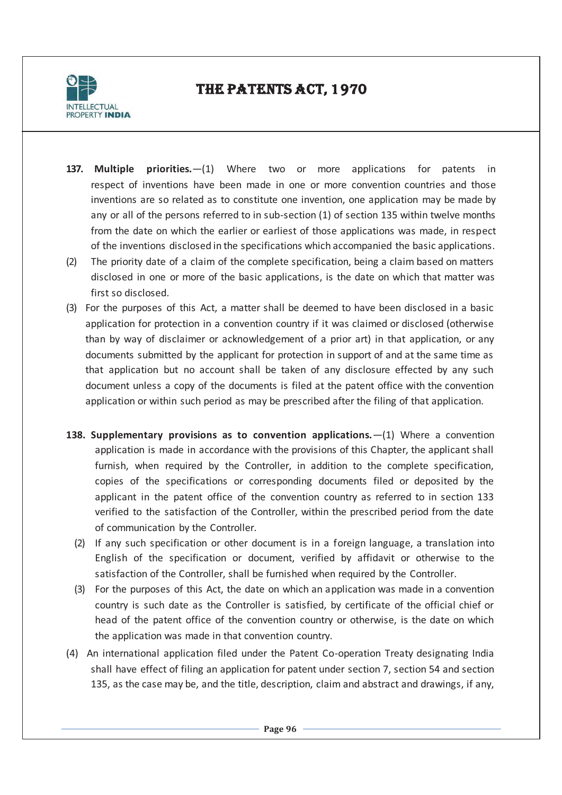

- **137. Multiple priorities.**—(1) Where two or more applications for patents in respect of inventions have been made in one or more convention countries and those inventions are so related as to constitute one invention, one application may be made by any or all of the persons referred to in sub-section (1) of section 135 within twelve months of the inventions disclosed in the specifications which accompanied the basic applications. from the date on which the earlier or earliest of those applications was made, in respect
- (2) The priority date of a claim of the complete specification, being a claim based on matters disclosed in one or more of the basic applications, is the date on which that matter was first so disclosed.
- (3) For the purposes of this Act, a matter shall be deemed to have been disclosed in a basic application for protection in a convention country if it was claimed or disclosed (otherwise than by way of disclaimer or acknowledgement of a prior art) in that application, or any documents submitted by the applicant for protection in support of and at the same time as that application but no account shall be taken of any disclosure effected by any such document unless a copy of the documents is filed at the patent office with the convention application or within such period as may be prescribed after the filing of that application.
- **138. Supplementary provisions as to convention applications.**—(1) Where a convention application is made in accordance with the provisions of this Chapter, the applicant shall furnish, when required by the Controller, in addition to the complete specification, copies of the specifications or corresponding documents filed or deposited by the applicant in the patent office of the convention country as referred to in section 133 verified to the satisfaction of the Controller, within the prescribed period from the date of communication by the Controller.
	- (2) If any such specification or other document is in a foreign language, a translation into English of the specification or document, verified by affidavit or otherwise to the satisfaction of the Controller, shall be furnished when required by the Controller.
	- (3) For the purposes of this Act, the date on which an application was made in a convention country is such date as the Controller is satisfied, by certificate of the official chief or head of the patent office of the convention country or otherwise, is the date on which the application was made in that convention country.
- (4) An international application filed under the Patent Co-operation Treaty designating India 135, as the case may be, and the title, description, claim and abstract and drawings, if any, shall have effect of filing an application for patent under section 7, section 54 and section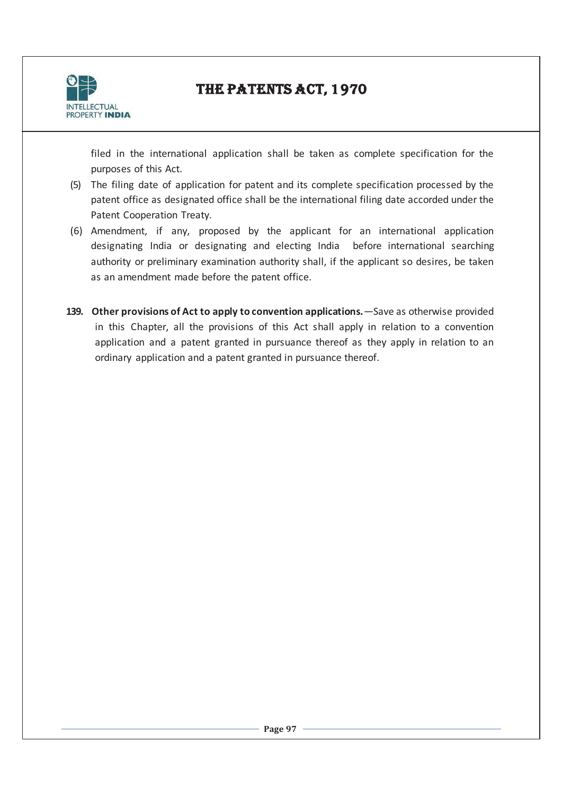

 filed in the international application shall be taken as complete specification for the purposes of this Act.

- (5) The filing date of application for patent and its complete specification processed by the patent office as designated office shall be the international filing date accorded under the Patent Cooperation Treaty.
- (6) Amendment, if any, proposed by the applicant for an international application designating India or designating and electing India before international searching authority or preliminary examination authority shall, if the applicant so desires, be taken as an amendment made before the patent office.
- **139. Other provisions of Act to apply to convention applications.**—Save as otherwise provided in this Chapter, all the provisions of this Act shall apply in relation to a convention application and a patent granted in pursuance thereof as they apply in relation to an ordinary application and a patent granted in pursuance thereof.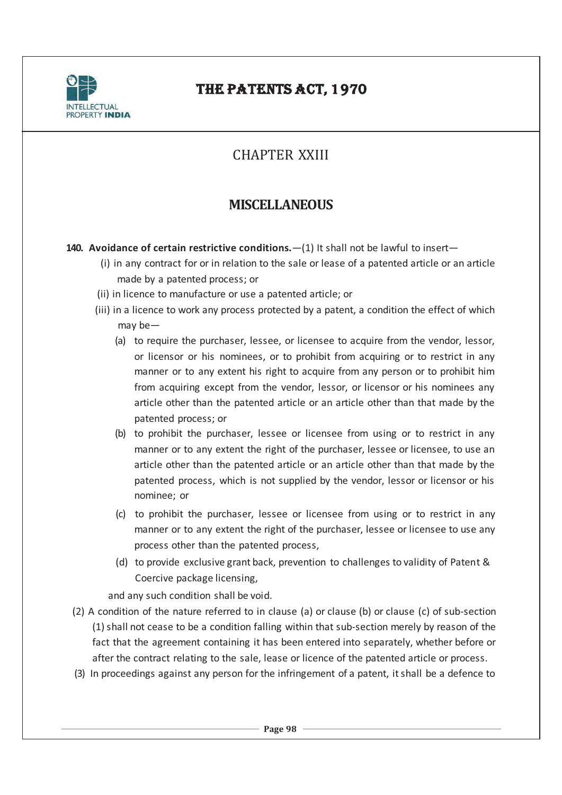

### CHAPTER XXIII

#### **MISCELLANEOUS**

**140. Avoidance of certain restrictive conditions.**—(1) It shall not be lawful to insert—

- (i) in any contract for or in relation to the sale or lease of a patented article or an article made by a patented process; or
- (ii) in licence to manufacture or use a patented article; or
- (iii) in a licence to work any process protected by a patent, a condition the effect of which may be—
	- or licensor or his nominees, or to prohibit from acquiring or to restrict in any manner or to any extent his right to acquire from any person or to prohibit him from acquiring except from the vendor, lessor, or licensor or his nominees any article other than the patented article or an article other than that made by the (a) to require the purchaser, lessee, or licensee to acquire from the vendor, lessor, patented process; or
	- manner or to any extent the right of the purchaser, lessee or licensee, to use an article other than the patented article or an article other than that made by the (b) to prohibit the purchaser, lessee or licensee from using or to restrict in any patented process, which is not supplied by the vendor, lessor or licensor or his nominee; or
	- manner or to any extent the right of the purchaser, lessee or licensee to use any process other than the patented process, (c) to prohibit the purchaser, lessee or licensee from using or to restrict in any
	- (d) to provide exclusive grant back, prevention to challenges to validity of Patent & Coercive package licensing,

Coercive package licensing, and any such condition shall be void.

- (2) A condition of the nature referred to in clause (a) or clause (b) or clause (c) of sub-section fact that the agreement containing it has been entered into separately, whether before or (1) shall not cease to be a condition falling within that sub-section merely by reason of the after the contract relating to the sale, lease or licence of the patented article or process.
- (3) In proceedings against any person for the infringement of a patent, it shall be a defence to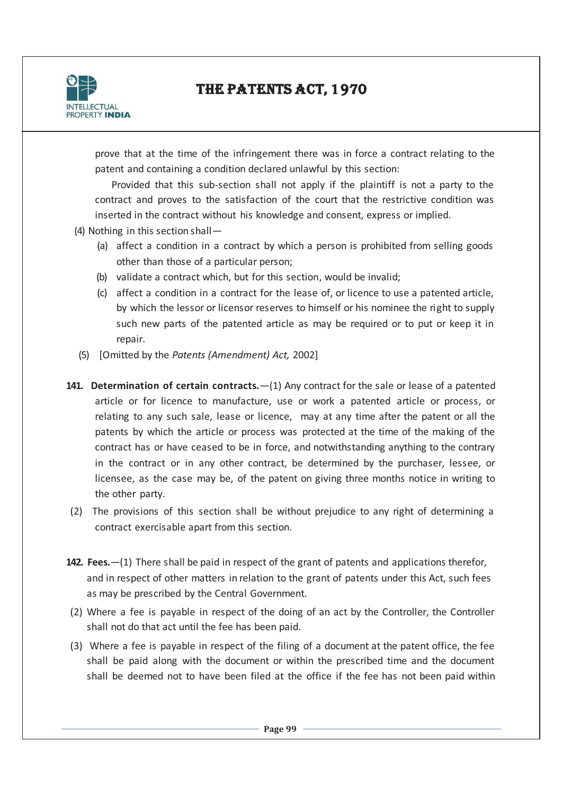

 prove that at the time of the infringement there was in force a contract relating to the patent and containing a condition declared unlawful by this section:

 Provided that this sub-section shall not apply if the plaintiff is not a party to the contract and proves to the satisfaction of the court that the restrictive condition was inserted in the contract without his knowledge and consent, express or implied.

- (4) Nothing in this section shall—
	- (a) affect a condition in a contract by which a person is prohibited from selling goods other than those of a particular person;
	- (b) validate a contract which, but for this section, would be invalid;
	- (c) affect a condition in a contract for the lease of, or licence to use a patented article, by which the lessor or licensor reserves to himself or his nominee the right to supply such new parts of the patented article as may be required or to put or keep it in repair.
- (5) [Omitted by the *Patents (Amendment) Act,* 2002]
- 141. Determination of certain contracts. (1) Any contract for the sale or lease of a patented article or for licence to manufacture, use or work a patented article or process, or relating to any such sale, lease or licence, may at any time after the patent or all the patents by which the article or process was protected at the time of the making of the contract has or have ceased to be in force, and notwithstanding anything to the contrary in the contract or in any other contract, be determined by the purchaser, lessee, or licensee, as the case may be, of the patent on giving three months notice in writing to the other party.
- (2) The provisions of this section shall be without prejudice to any right of determining a contract exercisable apart from this section.
- 142. Fees. (1) There shall be paid in respect of the grant of patents and applications therefor, and in respect of other matters in relation to the grant of patents under this Act, such fees as may be prescribed by the Central Government.
- (2) Where a fee is payable in respect of the doing of an act by the Controller, the Controller shall not do that act until the fee has been paid.
- (3) Where a fee is payable in respect of the filing of a document at the patent office, the fee shall be paid along with the document or within the prescribed time and the document shall be deemed not to have been filed at the office if the fee has not been paid within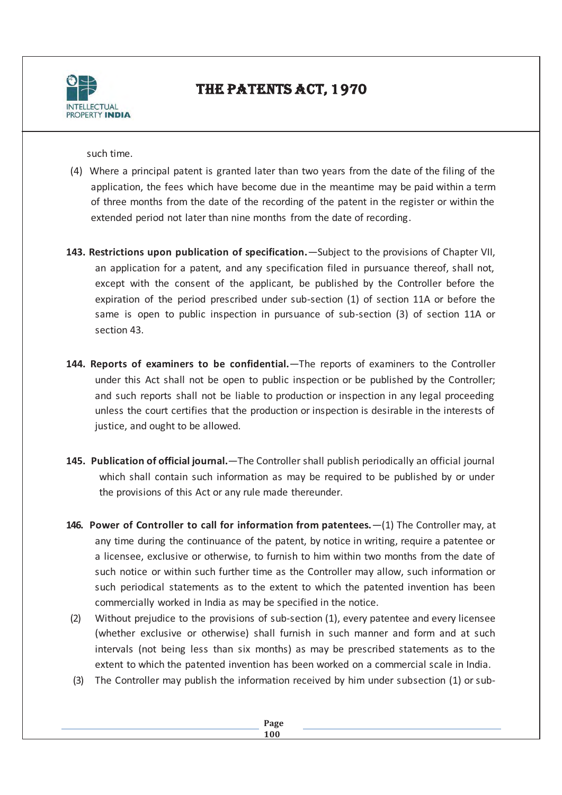

such time.

- (4) Where a principal patent is granted later than two years from the date of the filing of the application, the fees which have become due in the meantime may be paid within a term of three months from the date of the recording of the patent in the register or within the extended period not later than nine months from the date of recording.
- **143. Restrictions upon publication of specification.**—Subject to the provisions of Chapter VII, an application for a patent, and any specification filed in pursuance thereof, shall not, except with the consent of the applicant, be published by the Controller before the expiration of the period prescribed under sub-section (1) of section 11A or before the same is open to public inspection in pursuance of sub-section (3) of section 11A or section 43.
- and such reports shall not be liable to production or inspection in any legal proceeding unless the court certifies that the production or inspection is desirable in the interests of **144. Reports of examiners to be confidential.**—The reports of examiners to the Controller under this Act shall not be open to public inspection or be published by the Controller; justice, and ought to be allowed.
- 145. Publication of official journal.—The Controller shall publish periodically an official journal the provisions of this Act or any rule made thereunder. which shall contain such information as may be required to be published by or under
- 146. Power of Controller to call for information from patentees. (1) The Controller may, at any time during the continuance of the patent, by notice in writing, require a patentee or such notice or within such further time as the Controller may allow, such information or such periodical statements as to the extent to which the patented invention has been commercially worked in India as may be specified in the notice. a licensee, exclusive or otherwise, to furnish to him within two months from the date of
- (2) Without prejudice to the provisions of sub-section (1), every patentee and every licensee (whether exclusive or otherwise) shall furnish in such manner and form and at such intervals (not being less than six months) as may be prescribed statements as to the extent to which the patented invention has been worked on a commercial scale in India.
- (3) The Controller may publish the information received by him under subsection (1) or sub-